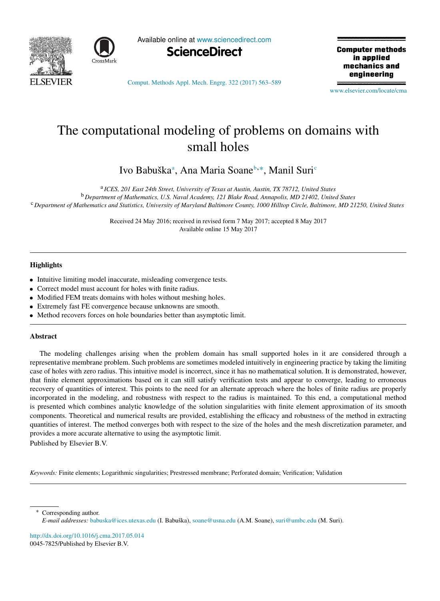



Available online at [www.sciencedirect.com](http://www.elsevier.com/locate/cma)



**Computer methods** in applied mechanics and engineering

[Comput. Methods Appl. Mech. Engrg. 322 \(2017\) 563–589](http://dx.doi.org/10.1016/j.cma.2017.05.014)

[www.elsevier.com/locate/cma](http://www.elsevier.com/locate/cma)

# The computational modeling of problems on domains with small holes

Ivo B[a](#page-0-0)[b](#page-0-1)uškaª, Ana Maria Soane<sup>b,[∗](#page-0-2)</sup>, Manil Suri<sup>e</sup>

<span id="page-0-1"></span><span id="page-0-0"></span>a *ICES, 201 East 24th Street, University of Texas at Austin, Austin, TX 78712, United States*

<span id="page-0-3"></span><sup>b</sup> *Department of Mathematics, U.S. Naval Academy, 121 Blake Road, Annapolis, MD 21402, United States* <sup>c</sup> *Department of Mathematics and Statistics, University of Maryland Baltimore County, 1000 Hilltop Circle, Baltimore, MD 21250, United States*

> Received 24 May 2016; received in revised form 7 May 2017; accepted 8 May 2017 Available online 15 May 2017

# **Highlights**

- Intuitive limiting model inaccurate, misleading convergence tests.
- Correct model must account for holes with finite radius.
- Modified FEM treats domains with holes without meshing holes.
- Extremely fast FE convergence because unknowns are smooth.
- Method recovers forces on hole boundaries better than asymptotic limit.

#### Abstract

The modeling challenges arising when the problem domain has small supported holes in it are considered through a representative membrane problem. Such problems are sometimes modeled intuitively in engineering practice by taking the limiting case of holes with zero radius. This intuitive model is incorrect, since it has no mathematical solution. It is demonstrated, however, that finite element approximations based on it can still satisfy verification tests and appear to converge, leading to erroneous recovery of quantities of interest. This points to the need for an alternate approach where the holes of finite radius are properly incorporated in the modeling, and robustness with respect to the radius is maintained. To this end, a computational method is presented which combines analytic knowledge of the solution singularities with finite element approximation of its smooth components. Theoretical and numerical results are provided, establishing the efficacy and robustness of the method in extracting quantities of interest. The method converges both with respect to the size of the holes and the mesh discretization parameter, and provides a more accurate alternative to using the asymptotic limit.

Published by Elsevier B.V.

*Keywords:* Finite elements; Logarithmic singularities; Prestressed membrane; Perforated domain; Verification; Validation

<span id="page-0-2"></span>Corresponding author. *E-mail addresses:* [babuska@ices.utexas.edu](mailto:babuska@ices.utexas.edu) (I. Babuška), [soane@usna.edu](mailto:soane@usna.edu) (A.M. Soane), [suri@umbc.edu](mailto:suri@umbc.edu) (M. Suri).

<http://dx.doi.org/10.1016/j.cma.2017.05.014> 0045-7825/Published by Elsevier B.V.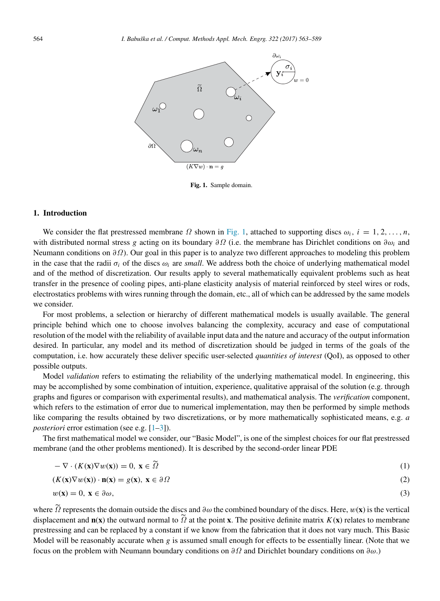<span id="page-1-0"></span>

Fig. 1. Sample domain.

### 1. Introduction

We consider the flat prestressed membrane  $\Omega$  shown in [Fig. 1,](#page-1-0) attached to supporting discs  $\omega_i$ ,  $i = 1, 2, \ldots, n$ , with distributed normal stress *g* acting on its boundary ∂Ω (i.e. the membrane has Dirichlet conditions on ∂ω*<sup>i</sup>* and Neumann conditions on  $\partial\Omega$ ). Our goal in this paper is to analyze two different approaches to modeling this problem in the case that the radii  $\sigma_i$  of the discs  $\omega_i$  are *small*. We address both the choice of underlying mathematical model and of the method of discretization. Our results apply to several mathematically equivalent problems such as heat transfer in the presence of cooling pipes, anti-plane elasticity analysis of material reinforced by steel wires or rods, electrostatics problems with wires running through the domain, etc., all of which can be addressed by the same models we consider.

For most problems, a selection or hierarchy of different mathematical models is usually available. The general principle behind which one to choose involves balancing the complexity, accuracy and ease of computational resolution of the model with the reliability of available input data and the nature and accuracy of the output information desired. In particular, any model and its method of discretization should be judged in terms of the goals of the computation, i.e. how accurately these deliver specific user-selected *quantities of interest* (QoI), as opposed to other possible outputs.

Model *validation* refers to estimating the reliability of the underlying mathematical model. In engineering, this may be accomplished by some combination of intuition, experience, qualitative appraisal of the solution (e.g. through graphs and figures or comparison with experimental results), and mathematical analysis. The *verification* component, which refers to the estimation of error due to numerical implementation, may then be performed by simple methods like comparing the results obtained by two discretizations, or by more mathematically sophisticated means, e.g. *a posteriori* error estimation (see e.g. [\[1](#page-25-0)[–3\]](#page-25-1)).

The first mathematical model we consider, our "Basic Model", is one of the simplest choices for our flat prestressed membrane (and the other problems mentioned). It is described by the second-order linear PDE

<span id="page-1-2"></span>
$$
-\nabla \cdot (K(\mathbf{x}) \nabla w(\mathbf{x})) = 0, \ \mathbf{x} \in \tilde{\Omega}
$$
 (1)

<span id="page-1-3"></span>
$$
(K(\mathbf{x})\nabla w(\mathbf{x})) \cdot \mathbf{n}(\mathbf{x}) = g(\mathbf{x}), \ \mathbf{x} \in \partial \Omega
$$
 (2)

<span id="page-1-1"></span>
$$
w(\mathbf{x}) = 0, \ \mathbf{x} \in \partial \omega,\tag{3}
$$

where  $\tilde{\Omega}$  represents the domain outside the discs and  $\partial\omega$  the combined boundary of the discs. Here,  $w(\bf{x})$  is the vertical displacement and  $\mathbf{n}(\mathbf{x})$  the outward normal to  $\Omega$  at the point **x**. The positive definite matrix  $K(\mathbf{x})$  relates to membrane prestressing and can be replaced by a constant if we know from the fabrication that it does not vary much. This Basic Model will be reasonably accurate when *g* is assumed small enough for effects to be essentially linear. (Note that we focus on the problem with Neumann boundary conditions on  $\partial\Omega$  and Dirichlet boundary conditions on  $\partial\omega$ .)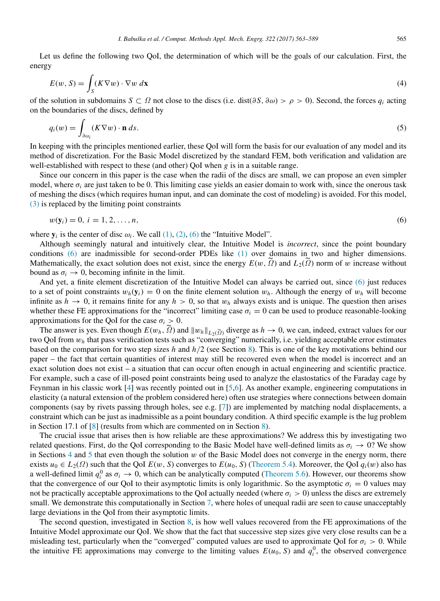Let us define the following two QoI, the determination of which will be the goals of our calculation. First, the energy

$$
E(w, S) = \int_{S} (K \nabla w) \cdot \nabla w \, d\mathbf{x}
$$
 (4)

of the solution in subdomains *S* ⊂ *Ω* not close to the discs (i.e. dist( $\partial S$ ,  $\partial \omega$ ) >  $\rho$  > 0). Second, the forces  $q_i$  acting on the boundaries of the discs, defined by

<span id="page-2-1"></span>
$$
q_i(w) = \int_{\partial \omega_i} (K \nabla w) \cdot \mathbf{n} \, ds. \tag{5}
$$

In keeping with the principles mentioned earlier, these QoI will form the basis for our evaluation of any model and its method of discretization. For the Basic Model discretized by the standard FEM, both verification and validation are well-established with respect to these (and other) QoI when *g* is in a suitable range.

Since our concern in this paper is the case when the radii of the discs are small, we can propose an even simpler model, where  $\sigma_i$  are just taken to be 0. This limiting case yields an easier domain to work with, since the onerous task of meshing the discs (which requires human input, and can dominate the cost of modeling) is avoided. For this model, [\(3\)](#page-1-1) is replaced by the limiting point constraints

<span id="page-2-0"></span>
$$
w(\mathbf{y}_i) = 0, \, i = 1, 2, \dots, n,\tag{6}
$$

where  $y_i$  is the center of disc  $\omega_i$ . We call  $(1)$ ,  $(2)$ ,  $(6)$  the "Intuitive Model".

Although seemingly natural and intuitively clear, the Intuitive Model is *incorrect*, since the point boundary conditions [\(6\)](#page-2-0) are inadmissible for second-order PDEs like [\(1\)](#page-1-2) over domains in two and higher dimensions. Mathematically, the exact solution does not exist, since the energy  $E(w, \tilde{\Omega})$  and  $L_2(\tilde{\Omega})$  norm of w increase without bound as  $\sigma_i \rightarrow 0$ , becoming infinite in the limit.

And yet, a finite element discretization of the Intuitive Model can always be carried out, since [\(6\)](#page-2-0) just reduces to a set of point constraints  $w_h(y_i) = 0$  on the finite element solution  $w_h$ . Although the energy of  $w_h$  will become infinite as  $h \to 0$ , it remains finite for any  $h > 0$ , so that  $w_h$  always exists and is unique. The question then arises whether these FE approximations for the "incorrect" limiting case  $\sigma_i = 0$  can be used to produce reasonable-looking approximations for the QoI for the case  $\sigma_i > 0$ .

The answer is yes. Even though  $E(w_h, \tilde{\Omega})$  and  $||w_h||_{L_2(\tilde{\Omega})}$  diverge as  $h \to 0$ , we can, indeed, extract values for our two QoI from w*<sup>h</sup>* that pass verification tests such as "converging" numerically, i.e. yielding acceptable error estimates based on the comparison for two step sizes *h* and *h*/2 (see Section [8\)](#page-22-0). This is one of the key motivations behind our paper – the fact that certain quantities of interest may still be recovered even when the model is incorrect and an exact solution does not exist – a situation that can occur often enough in actual engineering and scientific practice. For example, such a case of ill-posed point constraints being used to analyze the elastostatics of the Faraday cage by Feynman in his classic work [\[4\]](#page-25-2) was recently pointed out in [\[5,](#page-25-3)[6\]](#page-25-4). As another example, engineering computations in elasticity (a natural extension of the problem considered here) often use strategies where connections between domain components (say by rivets passing through holes, see e.g. [\[7\]](#page-25-5)) are implemented by matching nodal displacements, a constraint which can be just as inadmissible as a point boundary condition. A third specific example is the lug problem in Section 17.1 of [\[8\]](#page-25-6) (results from which are commented on in Section [8\)](#page-22-0).

The crucial issue that arises then is how reliable are these approximations? We address this by investigating two related questions. First, do the QoI corresponding to the Basic Model have well-defined limits as  $\sigma_i \to 0$ ? We show in Sections  $4$  and  $5$  that even though the solution  $w$  of the Basic Model does not converge in the energy norm, there exists  $u_0 \in L_2(\Omega)$  such that the QoI  $E(w, S)$  converges to  $E(u_0, S)$  [\(Theorem 5.4\)](#page-14-0). Moreover, the QoI  $q_i(w)$  also has a well-defined limit  $q_i^0$  as  $\sigma_i \to 0$ , which can be analytically computed [\(Theorem 5.6\)](#page-16-0). However, our theorems show that the convergence of our QoI to their asymptotic limits is only logarithmic. So the asymptotic  $\sigma_i = 0$  values may not be practically acceptable approximations to the QoI actually needed (where  $\sigma_i > 0$ ) unless the discs are extremely small. We demonstrate this computationally in Section [7,](#page-18-0) where holes of unequal radii are seen to cause unacceptably large deviations in the QoI from their asymptotic limits.

The second question, investigated in Section [8,](#page-22-0) is how well values recovered from the FE approximations of the Intuitive Model approximate our QoI. We show that the fact that successive step sizes give very close results can be a misleading test, particularly when the "converged" computed values are used to approximate QoI for  $\sigma_i > 0$ . While the intuitive FE approximations may converge to the limiting values  $E(u_0, S)$  and  $q_i^0$ , the observed convergence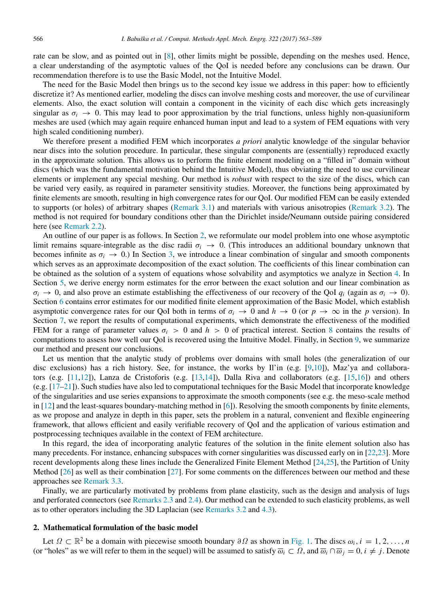rate can be slow, and as pointed out in [\[8\]](#page-25-6), other limits might be possible, depending on the meshes used. Hence, a clear understanding of the asymptotic values of the QoI is needed before any conclusions can be drawn. Our recommendation therefore is to use the Basic Model, not the Intuitive Model.

The need for the Basic Model then brings us to the second key issue we address in this paper: how to efficiently discretize it? As mentioned earlier, modeling the discs can involve meshing costs and moreover, the use of curvilinear elements. Also, the exact solution will contain a component in the vicinity of each disc which gets increasingly singular as  $\sigma_i \to 0$ . This may lead to poor approximation by the trial functions, unless highly non-quasiuniform meshes are used (which may again require enhanced human input and lead to a system of FEM equations with very high scaled conditioning number).

We therefore present a modified FEM which incorporates *a priori* analytic knowledge of the singular behavior near discs into the solution procedure. In particular, these singular components are (essentially) reproduced exactly in the approximate solution. This allows us to perform the finite element modeling on a "filled in" domain without discs (which was the fundamental motivation behind the Intuitive Model), thus obviating the need to use curvilinear elements or implement any special meshing. Our method is *robust* with respect to the size of the discs, which can be varied very easily, as required in parameter sensitivity studies. Moreover, the functions being approximated by finite elements are smooth, resulting in high convergence rates for our QoI. Our modified FEM can be easily extended to supports (or holes) of arbitrary shapes [\(Remark 3.1\)](#page-7-0) and materials with various anisotropies [\(Remark 3.2\)](#page-7-1). The method is not required for boundary conditions other than the Dirichlet inside/Neumann outside pairing considered here (see [Remark 2.2\)](#page-5-0).

An outline of our paper is as follows. In Section [2,](#page-3-0) we reformulate our model problem into one whose asymptotic limit remains square-integrable as the disc radii  $\sigma_i \to 0$ . (This introduces an additional boundary unknown that becomes infinite as  $\sigma_i \to 0$ .) In Section [3,](#page-5-1) we introduce a linear combination of singular and smooth components which serves as an approximate decomposition of the exact solution. The coefficients of this linear combination can be obtained as the solution of a system of equations whose solvability and asymptotics we analyze in Section [4.](#page-8-0) In Section [5,](#page-12-0) we derive energy norm estimates for the error between the exact solution and our linear combination as  $\sigma_i \to 0$ , and also prove an estimate establishing the effectiveness of our recovery of the QoI  $q_i$  (again as  $\sigma_i \to 0$ ). Section [6](#page-16-1) contains error estimates for our modified finite element approximation of the Basic Model, which establish asymptotic convergence rates for our QoI both in terms of  $\sigma_i \to 0$  and  $h \to 0$  (or  $p \to \infty$  in the *p* version). In Section [7,](#page-18-0) we report the results of computational experiments, which demonstrate the effectiveness of the modified FEM for a range of parameter values  $\sigma_i > 0$  and  $h > 0$  of practical interest. Section [8](#page-22-0) contains the results of computations to assess how well our QoI is recovered using the Intuitive Model. Finally, in Section [9,](#page-24-0) we summarize our method and present our conclusions.

Let us mention that the analytic study of problems over domains with small holes (the generalization of our disc exclusions) has a rich history. See, for instance, the works by Il'in (e.g. [\[9](#page-25-7)[,10\]](#page-25-8)), Maz'ya and collaborators (e.g. [\[11](#page-26-0)[,12\]](#page-26-1)), Lanza de Cristoforis (e.g. [\[13,](#page-26-2)[14\]](#page-26-3)), Dalla Riva and collaborators (e.g. [\[15](#page-26-4)[,16\]](#page-26-5)) and others (e.g. [\[17](#page-26-6)[–21\]](#page-26-7)). Such studies have also led to computational techniques for the Basic Model that incorporate knowledge of the singularities and use series expansions to approximate the smooth components (see e.g. the meso-scale method in [\[12\]](#page-26-1) and the least-squares boundary-matching method in [\[6\]](#page-25-4)). Resolving the smooth components by finite elements, as we propose and analyze in depth in this paper, sets the problem in a natural, convenient and flexible engineering framework, that allows efficient and easily verifiable recovery of QoI and the application of various estimation and postprocessing techniques available in the context of FEM architecture.

In this regard, the idea of incorporating analytic features of the solution in the finite element solution also has many precedents. For instance, enhancing subspaces with corner singularities was discussed early on in [\[22,](#page-26-8)[23\]](#page-26-9). More recent developments along these lines include the Generalized Finite Element Method [\[24,](#page-26-10)[25\]](#page-26-11), the Partition of Unity Method [\[26\]](#page-26-12) as well as their combination [\[27\]](#page-26-13). For some comments on the differences between our method and these approaches see [Remark 3.3.](#page-8-1)

Finally, we are particularly motivated by problems from plane elasticity, such as the design and analysis of lugs and perforated connectors (see [Remarks 2.3](#page-5-2) and [2.4\)](#page-5-3). Our method can be extended to such elasticity problems, as well as to other operators including the 3D Laplacian (see [Remarks 3.2](#page-7-1) and [4.3\)](#page-11-0).

# <span id="page-3-0"></span>2. Mathematical formulation of the basic model

Let  $\Omega \subset \mathbb{R}^2$  be a domain with piecewise smooth boundary  $\partial \Omega$  as shown in [Fig. 1.](#page-1-0) The discs  $\omega_i$ ,  $i = 1, 2, ..., n$ (or "holes" as we will refer to them in the sequel) will be assumed to satisfy  $\overline{\omega}_i \subset \Omega$ , and  $\overline{\omega}_i \cap \overline{\omega}_j = 0$ ,  $i \neq j$ . Denote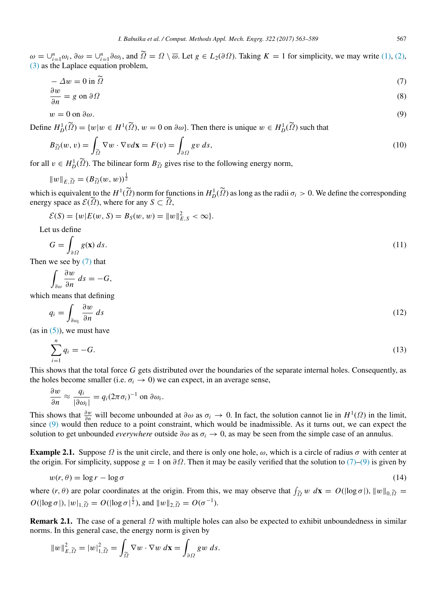$\omega = \bigcup_{i=1}^n \omega_i$ ,  $\partial \omega = \bigcup_{i=1}^n \partial \omega_i$ , and  $\tilde{\Omega} = \Omega \setminus \overline{\omega}$ . Let  $g \in L_2(\partial \Omega)$ . Taking  $K = 1$  for simplicity, we may write [\(1\),](#page-1-2) [\(2\),](#page-1-3)  $(3)$  as the Laplace equation problem.

<span id="page-4-0"></span>
$$
-\Delta w = 0 \text{ in } \widetilde{\Omega}
$$
\n<sup>(7)</sup>

<span id="page-4-3"></span>
$$
\frac{\partial w}{\partial n} = g \text{ on } \partial \Omega \tag{8}
$$

<span id="page-4-1"></span>
$$
w = 0 \text{ on } \partial \omega. \tag{9}
$$

Define  $H_D^1(\tilde{\Omega}) = \{w | w \in H^1(\tilde{\Omega}), w = 0 \text{ on } \partial \omega\}$ . Then there is unique  $w \in H_D^1(\tilde{\Omega})$  such that

<span id="page-4-5"></span>
$$
B_{\widetilde{\Omega}}(w,v) = \int_{\widetilde{\Omega}} \nabla w \cdot \nabla v d\mathbf{x} = F(v) = \int_{\partial \Omega} g v ds,
$$
\n(10)

for all  $v \in H_D^1(\tilde{\Omega})$ . The bilinear form  $B_{\tilde{\Omega}}$  gives rise to the following energy norm,

$$
||w||_{E,\widetilde{\Omega}} = (B_{\widetilde{\Omega}}(w, w))^{\frac{1}{2}}
$$

which is equivalent to the  $H^1(\tilde{\Omega})$  norm for functions in  $H^1_D(\tilde{\Omega})$  as long as the radii  $\sigma_i > 0$ . We define the corresponding energy space as  $\mathcal{E}(\tilde{\Omega})$ , where for any  $S \subset \tilde{\Omega}$ ,

$$
\mathcal{E}(S) = \{w | E(w, S) = B_S(w, w) = ||w||_{E, S}^2 < \infty\}.
$$

Let us define

$$
G = \int_{\partial \Omega} g(\mathbf{x}) \, ds. \tag{11}
$$

Then we see by [\(7\)](#page-4-0) that

$$
\int_{\partial\omega}\frac{\partial w}{\partial n}\ ds=-G,
$$

which means that defining

<span id="page-4-6"></span>
$$
q_i = \int_{\partial \omega_i} \frac{\partial w}{\partial n} \, ds \tag{12}
$$

 $(as in (5))$  $(as in (5))$ , we must have

<span id="page-4-4"></span>
$$
\sum_{i=1}^{n} q_i = -G.\tag{13}
$$

This shows that the total force *G* gets distributed over the boundaries of the separate internal holes. Consequently, as the holes become smaller (i.e.  $\sigma_i \rightarrow 0$ ) we can expect, in an average sense,

$$
\frac{\partial w}{\partial n} \approx \frac{q_i}{|\partial \omega_i|} = q_i (2\pi \sigma_i)^{-1}
$$
 on  $\partial \omega_i$ .

This shows that  $\frac{\partial w}{\partial n}$  will become unbounded at  $\partial \omega$  as  $\sigma_i \to 0$ . In fact, the solution cannot lie in  $H^1(\Omega)$  in the limit, since [\(9\)](#page-4-1) would then reduce to a point constraint, which would be inadmissible. As it turns out, we can expect the solution to get unbounded *everywhere* outside  $\partial \omega$  as  $\sigma_i \to 0$ , as may be seen from the simple case of an annulus.

**Example 2.1.** Suppose  $\Omega$  is the unit circle, and there is only one hole,  $\omega$ , which is a circle of radius  $\sigma$  with center at the origin. For simplicity, suppose  $g = 1$  on  $\partial \Omega$ . Then it may be easily verified that the solution to [\(7\)–](#page-4-0)[\(9\)](#page-4-1) is given by

<span id="page-4-2"></span>
$$
w(r,\theta) = \log r - \log \sigma \tag{14}
$$

where  $(r, \theta)$  are polar coordinates at the origin. From this, we may observe that  $\int_{\tilde{\Omega}} w \, d\mathbf{x} = O(|\log \sigma|)$ ,  $||w||_{0, \tilde{\Omega}} =$  $O(|\log \sigma|), |w|_{1, \tilde{\Omega}} = O(|\log \sigma|^{\frac{1}{2}}), \text{ and } ||w||_{2, \tilde{\Omega}} = O(\sigma^{-1}).$ 

Remark 2.1. The case of a general  $\Omega$  with multiple holes can also be expected to exhibit unboundedness in similar norms. In this general case, the energy norm is given by

$$
||w||_{E,\widetilde{\Omega}}^2 = |w|_{1,\widetilde{\Omega}}^2 = \int_{\widetilde{\Omega}} \nabla w \cdot \nabla w \, d\mathbf{x} = \int_{\partial \Omega} g w \, ds.
$$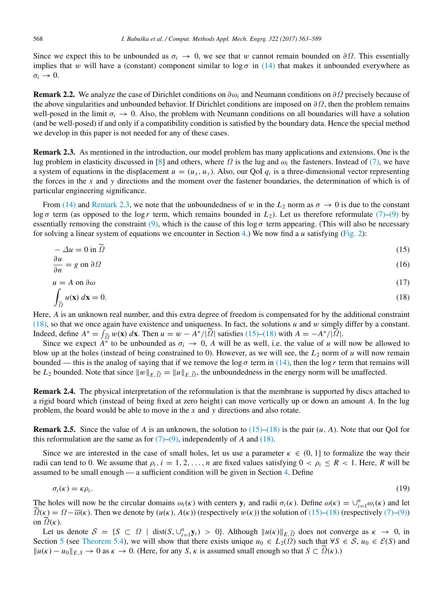Since we expect this to be unbounded as  $\sigma_i \to 0$ , we see that w cannot remain bounded on  $\partial\Omega$ . This essentially implies that w will have a (constant) component similar to  $\log \sigma$  in [\(14\)](#page-4-2) that makes it unbounded everywhere as  $\sigma_i \rightarrow 0$ .

<span id="page-5-0"></span>Remark 2.2. We analyze the case of Dirichlet conditions on ∂ω*<sup>i</sup>* and Neumann conditions on ∂Ω precisely because of the above singularities and unbounded behavior. If Dirichlet conditions are imposed on  $\partial\Omega$ , then the problem remains well-posed in the limit  $\sigma_i \to 0$ . Also, the problem with Neumann conditions on all boundaries will have a solution (and be well-posed) if and only if a compatibility condition is satisfied by the boundary data. Hence the special method we develop in this paper is not needed for any of these cases.

<span id="page-5-2"></span>Remark 2.3. As mentioned in the introduction, our model problem has many applications and extensions. One is the lug problem in elasticity discussed in [\[8\]](#page-25-6) and others, where  $\Omega$  is the lug and  $\omega_i$  the fasteners. Instead of [\(7\),](#page-4-0) we have a system of equations in the displacement  $u = (u_x, u_y)$ . Also, our QoI  $q_i$  is a three-dimensional vector representing the forces in the *x* and *y* directions and the moment over the fastener boundaries, the determination of which is of particular engineering significance.

From [\(14\)](#page-4-2) and [Remark 2.3,](#page-5-2) we note that the unboundedness of w in the  $L_2$  norm as  $\sigma \to 0$  is due to the constant log *σ* term (as opposed to the log *r* term, which remains bounded in *L*<sub>2</sub>). Let us therefore reformulate [\(7\)–](#page-4-0)[\(9\)](#page-4-1) by essentially removing the constraint [\(9\),](#page-4-1) which is the cause of this log  $\sigma$  term appearing. (This will also be necessary for solving a linear system of equations we encounter in Section [4.](#page-8-0)) We now find a *u* satisfying [\(Fig. 2\)](#page-6-0):

<span id="page-5-5"></span>
$$
-\Delta u = 0 \text{ in } \Omega \tag{15}
$$

<span id="page-5-6"></span>
$$
\frac{\partial u}{\partial n} = g \text{ on } \partial \Omega \tag{16}
$$

<span id="page-5-7"></span>
$$
u = A \text{ on } \partial \omega \tag{17}
$$

<span id="page-5-4"></span>
$$
\int_{\widetilde{\Omega}} u(\mathbf{x}) \, d\mathbf{x} = 0. \tag{18}
$$

Here, *A* is an unknown real number, and this extra degree of freedom is compensated for by the additional constraint [\(18\),](#page-5-4) so that we once again have existence and uniqueness. In fact, the solutions *u* and w simply differ by a constant. Indeed, define  $A^* = \int_{\Omega}^{\infty} w(\mathbf{x}) d\mathbf{x}$ . Then  $u = w - A^* / |\tilde{\Omega}|$  satisfies [\(15\)](#page-5-5)[–\(18\)](#page-5-4) with  $A = -A^* / |\tilde{\Omega}|$ .

Since we expect  $A^*$  to be unbounded as  $\sigma_i \to 0$ , A will be as well, i.e. the value of *u* will now be allowed to blow up at the holes (instead of being constrained to 0). However, as we will see, the  $L_2$  norm of  $u$  will now remain bounded — this is the analog of saying that if we remove the  $\log \sigma$  term in [\(14\),](#page-4-2) then the  $\log r$  term that remains will be *L*<sub>2</sub> bounded. Note that since  $||w||_{E,\tilde{\Omega}} = ||u||_{E,\tilde{\Omega}}$ , the unboundedness in the energy norm will be unaffected.

<span id="page-5-3"></span>Remark 2.4. The physical interpretation of the reformulation is that the membrane is supported by discs attached to a rigid board which (instead of being fixed at zero height) can move vertically up or down an amount *A*. In the lug problem, the board would be able to move in the *x* and *y* directions and also rotate.

**Remark 2.5.** Since the value of *A* is an unknown, the solution to  $(15)$ – $(18)$  is the pair  $(u, A)$ . Note that our QoI for this reformulation are the same as for  $(7)-(9)$  $(7)-(9)$ , independently of *A* and  $(18)$ .

Since we are interested in the case of small holes, let us use a parameter  $\kappa \in (0, 1]$  to formalize the way their radii can tend to 0. We assume that  $\rho_i$ ,  $i = 1, 2, \ldots, n$  are fixed values satisfying  $0 \lt \rho_i \leq R \lt 1$ . Here, R will be assumed to be small enough — a sufficient condition will be given in Section [4.](#page-8-0) Define

<span id="page-5-8"></span>
$$
\sigma_i(\kappa) = \kappa \rho_i. \tag{19}
$$

The holes will now be the circular domains  $\omega_i(\kappa)$  with centers  $y_i$  and radii  $\sigma_i(\kappa)$ . Define  $\omega(\kappa) = \bigcup_{i=1}^n \omega_i(\kappa)$  and let  $\widetilde{\Omega}(\kappa) = \Omega - \overline{\omega}(\kappa)$ . Then we denote by  $(u(\kappa), A(\kappa))$  (respectively  $w(\kappa)$ ) the solution of [\(15\)–](#page-5-5)[\(18\)](#page-5-4) (respectively [\(7\)](#page-4-0)[–\(9\)\)](#page-4-1) on  $\Omega(\kappa)$ .

<span id="page-5-1"></span>Let us denote  $S = \{S \subset \Omega \mid \text{dist}(S, \bigcup_{i=1}^{n} y_i) > 0\}$ . Although  $||u(\kappa)||_{E, \widetilde{\Omega}}$  does not converge as  $\kappa \to 0$ , in Section [5](#page-12-0) (see [Theorem 5.4\)](#page-14-0), we will show that there exists unique  $u_0 \in L_2(\Omega)$  such that  $\forall S \in S$ ,  $u_0 \in \mathcal{E}(S)$  and  $||u(\kappa) - u_0||_{E,S}$  → 0 as  $\kappa$  → 0. (Here, for any *S*,  $\kappa$  is assumed small enough so that *S* ⊂  $\Omega(\kappa)$ .)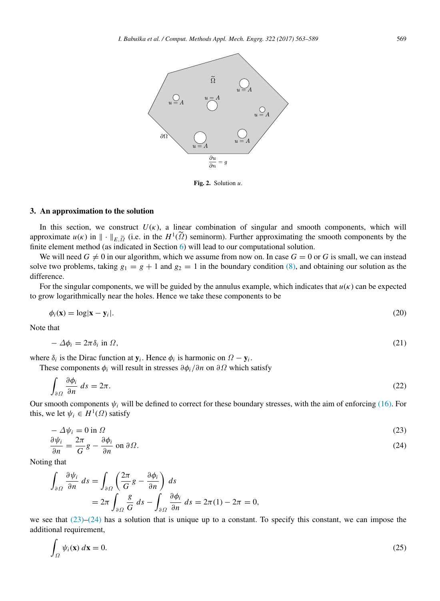<span id="page-6-0"></span>

Fig. 2. Solution *u*.

#### 3. An approximation to the solution

In this section, we construct  $U(\kappa)$ , a linear combination of singular and smooth components, which will approximate  $u(\kappa)$  in  $\|\cdot\|_{E,\widetilde{\Omega}}$  (i.e. in the  $H^1(\widetilde{\Omega})$  seminorm). Further approximating the smooth components by the finite element method (as indicated in Section [6\)](#page-16-1) will lead to our computational solution.

We will need  $G \neq 0$  in our algorithm, which we assume from now on. In case  $G = 0$  or G is small, we can instead solve two problems, taking  $g_1 = g + 1$  and  $g_2 = 1$  in the boundary condition [\(8\),](#page-4-3) and obtaining our solution as the difference.

For the singular components, we will be guided by the annulus example, which indicates that  $u(\kappa)$  can be expected to grow logarithmically near the holes. Hence we take these components to be

<span id="page-6-3"></span>
$$
\phi_i(\mathbf{x}) = \log|\mathbf{x} - \mathbf{y}_i|.\tag{20}
$$

Note that

<span id="page-6-4"></span>
$$
-\Delta\phi_i = 2\pi\delta_i \text{ in } \Omega,\tag{21}
$$

where  $\delta_i$  is the Dirac function at  $y_i$ . Hence  $\phi_i$  is harmonic on  $\Omega - y_i$ .

These components  $\phi_i$  will result in stresses  $\partial \phi_i / \partial n$  on  $\partial \Omega$  which satisfy

$$
\int_{\partial\Omega} \frac{\partial \phi_i}{\partial n} \, ds = 2\pi. \tag{22}
$$

Our smooth components  $\psi_i$  will be defined to correct for these boundary stresses, with the aim of enforcing [\(16\).](#page-5-6) For this, we let  $\psi_i \in H^1(\Omega)$  satisfy

<span id="page-6-1"></span>
$$
-\Delta \psi_i = 0 \text{ in } \Omega \tag{23}
$$

<span id="page-6-2"></span>
$$
\frac{\partial \psi_i}{\partial n} = \frac{2\pi}{G}g - \frac{\partial \phi_i}{\partial n} \text{ on } \partial \Omega.
$$
 (24)

Noting that

$$
\int_{\partial\Omega} \frac{\partial \psi_i}{\partial n} ds = \int_{\partial\Omega} \left( \frac{2\pi}{G} g - \frac{\partial \phi_i}{\partial n} \right) ds
$$
  
=  $2\pi \int_{\partial\Omega} \frac{g}{G} ds - \int_{\partial\Omega} \frac{\partial \phi_i}{\partial n} ds = 2\pi (1) - 2\pi = 0,$ 

we see that  $(23)$ – $(24)$  has a solution that is unique up to a constant. To specify this constant, we can impose the additional requirement,

<span id="page-6-5"></span>
$$
\int_{\Omega} \psi_i(\mathbf{x}) \, d\mathbf{x} = 0. \tag{25}
$$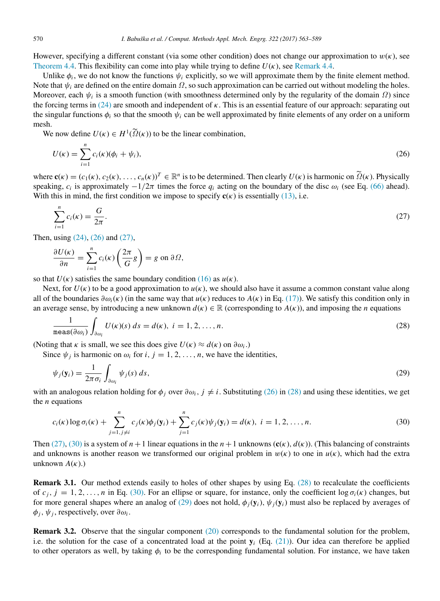However, specifying a different constant (via some other condition) does not change our approximation to  $w(\kappa)$ , see [Theorem 4.4.](#page-10-0) This flexibility can come into play while trying to define  $U(\kappa)$ , see [Remark 4.4.](#page-11-1)

Unlike  $\phi_i$ , we do not know the functions  $\psi_i$  explicitly, so we will approximate them by the finite element method. Note that  $\psi_i$  are defined on the entire domain  $\Omega$ , so such approximation can be carried out without modeling the holes. Moreover, each  $\psi_i$  is a smooth function (with smoothness determined only by the regularity of the domain  $\Omega$ ) since the forcing terms in [\(24\)](#page-6-2) are smooth and independent of  $\kappa$ . This is an essential feature of our approach: separating out the singular functions  $\phi_i$  so that the smooth  $\psi_i$  can be well approximated by finite elements of any order on a uniform mesh.

We now define  $U(\kappa) \in H^1(\Omega(\kappa))$  to be the linear combination,

<span id="page-7-2"></span>
$$
U(\kappa) = \sum_{i=1}^{n} c_i(\kappa)(\phi_i + \psi_i),
$$
\n(26)

where  $\mathbf{c}(\kappa) = (c_1(\kappa), c_2(\kappa), \dots, c_n(\kappa))^T \in \mathbb{R}^n$  is to be determined. Then clearly  $U(\kappa)$  is harmonic on  $\widetilde{Q}(\kappa)$ . Physically speaking,  $c_i$  is approximately  $-1/2\pi$  times the force  $q_i$  acting on the boundary of the disc  $\omega_i$  (see Eq. [\(66\)](#page-15-0) ahead). With this in mind, the first condition we impose to specify  $c(\kappa)$  is essentially [\(13\),](#page-4-4) i.e.

<span id="page-7-3"></span>
$$
\sum_{i=1}^{n} c_i(\kappa) = \frac{G}{2\pi}.
$$
\n(27)

Then, using [\(24\),](#page-6-2) [\(26\)](#page-7-2) and [\(27\),](#page-7-3)

$$
\frac{\partial U(\kappa)}{\partial n} = \sum_{i=1}^{n} c_i(\kappa) \left( \frac{2\pi}{G} g \right) = g \text{ on } \partial \Omega,
$$

so that  $U(\kappa)$  satisfies the same boundary condition [\(16\)](#page-5-6) as  $u(\kappa)$ .

Next, for  $U(\kappa)$  to be a good approximation to  $u(\kappa)$ , we should also have it assume a common constant value along all of the boundaries  $\partial \omega_i(\kappa)$  (in the same way that  $u(\kappa)$  reduces to  $A(\kappa)$  in Eq. [\(17\)\)](#page-5-7). We satisfy this condition only in an average sense, by introducing a new unknown  $d(\kappa) \in \mathbb{R}$  (corresponding to  $A(\kappa)$ ), and imposing the *n* equations

<span id="page-7-4"></span>
$$
\frac{1}{\operatorname{meas}(\partial \omega_i)} \int_{\partial \omega_i} U(\kappa)(s) \, ds = d(\kappa), \ i = 1, 2, \dots, n. \tag{28}
$$

(Noting that  $\kappa$  is small, we see this does give  $U(\kappa) \approx d(\kappa)$  on  $\partial \omega_i$ .)

Since  $\psi_j$  is harmonic on  $\omega_i$  for *i*,  $j = 1, 2, ..., n$ , we have the identities,

<span id="page-7-6"></span>
$$
\psi_j(\mathbf{y}_i) = \frac{1}{2\pi\sigma_i} \int_{\partial \omega_i} \psi_j(s) \, ds,\tag{29}
$$

with an analogous relation holding for  $\phi_i$  over  $\partial \omega_i$ ,  $j \neq i$ . Substituting [\(26\)](#page-7-2) in [\(28\)](#page-7-4) and using these identities, we get the *n* equations

<span id="page-7-5"></span>
$$
c_i(\kappa) \log \sigma_i(\kappa) + \sum_{j=1, j \neq i}^{n} c_j(\kappa) \phi_j(\mathbf{y}_i) + \sum_{j=1}^{n} c_j(\kappa) \psi_j(\mathbf{y}_i) = d(\kappa), \ i = 1, 2, ..., n.
$$
 (30)

Then [\(27\),](#page-7-3) [\(30\)](#page-7-5) is a system of  $n + 1$  linear equations in the  $n + 1$  unknowns  $(c(\kappa), d(\kappa))$ . (This balancing of constraints and unknowns is another reason we transformed our original problem in  $w(\kappa)$  to one in  $u(\kappa)$ , which had the extra unknown  $A(\kappa)$ .)

<span id="page-7-0"></span>Remark 3.1. Our method extends easily to holes of other shapes by using Eq. [\(28\)](#page-7-4) to recalculate the coefficients of  $c_j$ ,  $j = 1, 2, \ldots, n$  in Eq. [\(30\).](#page-7-5) For an ellipse or square, for instance, only the coefficient log  $\sigma_i(\kappa)$  changes, but for more general shapes where an analog of [\(29\)](#page-7-6) does not hold,  $\phi_i(y_i)$ ,  $\psi_i(y_i)$  must also be replaced by averages of  $\phi_j$ ,  $\psi_j$ , respectively, over  $\partial \omega_i$ .

<span id="page-7-1"></span>Remark 3.2. Observe that the singular component [\(20\)](#page-6-3) corresponds to the fundamental solution for the problem, i.e. the solution for the case of a concentrated load at the point  $y_i$  (Eq. [\(21\)\)](#page-6-4). Our idea can therefore be applied to other operators as well, by taking  $\phi_i$  to be the corresponding fundamental solution. For instance, we have taken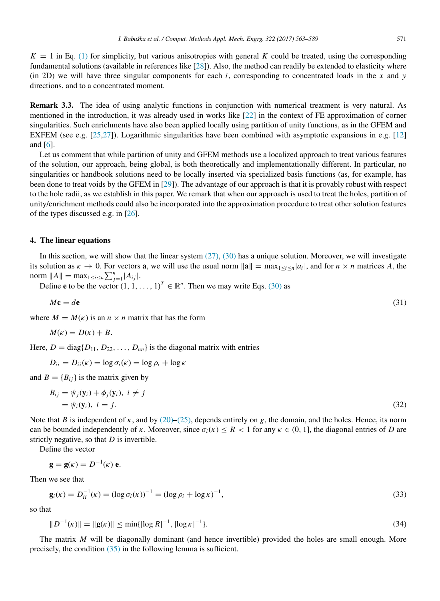$K = 1$  in Eq. [\(1\)](#page-1-2) for simplicity, but various anisotropies with general K could be treated, using the corresponding fundamental solutions (available in references like [\[28\]](#page-26-14)). Also, the method can readily be extended to elasticity where (in 2D) we will have three singular components for each  $i$ , corresponding to concentrated loads in the  $x$  and  $y$ directions, and to a concentrated moment.

<span id="page-8-1"></span>Remark 3.3. The idea of using analytic functions in conjunction with numerical treatment is very natural. As mentioned in the introduction, it was already used in works like [\[22\]](#page-26-8) in the context of FE approximation of corner singularities. Such enrichments have also been applied locally using partition of unity functions, as in the GFEM and EXFEM (see e.g. [\[25](#page-26-11)[,27\]](#page-26-13)). Logarithmic singularities have been combined with asymptotic expansions in e.g. [\[12\]](#page-26-1) and [\[6\]](#page-25-4).

Let us comment that while partition of unity and GFEM methods use a localized approach to treat various features of the solution, our approach, being global, is both theoretically and implementationally different. In particular, no singularities or handbook solutions need to be locally inserted via specialized basis functions (as, for example, has been done to treat voids by the GFEM in [\[29\]](#page-26-15)). The advantage of our approach is that it is provably robust with respect to the hole radii, as we establish in this paper. We remark that when our approach is used to treat the holes, partition of unity/enrichment methods could also be incorporated into the approximation procedure to treat other solution features of the types discussed e.g. in [\[26\]](#page-26-12).

# <span id="page-8-0"></span>4. The linear equations

In this section, we will show that the linear system  $(27)$ ,  $(30)$  has a unique solution. Moreover, we will investigate its solution as  $\kappa \to 0$ . For vectors **a**, we will use the usual norm  $\|\mathbf{a}\| = \max_{1 \le i \le n} |a_i|$ , and for  $n \times n$  matrices A, the norm  $||A|| = \max_{1 \le i \le n} \sum_{j=1}^{n} |A_{ij}|$ .

Define **e** to be the vector  $(1, 1, \ldots, 1)^T \in \mathbb{R}^n$ . Then we may write Eqs. [\(30\)](#page-7-5) as

<span id="page-8-3"></span>
$$
M\mathbf{c} = d\mathbf{e}
$$
 (31)

where  $M = M(\kappa)$  is an  $n \times n$  matrix that has the form

$$
M(\kappa) = D(\kappa) + B.
$$

Here,  $D = \text{diag}\{D_{11}, D_{22}, \ldots, D_{nn}\}$  is the diagonal matrix with entries

$$
D_{ii} = D_{ii}(\kappa) = \log \sigma_i(\kappa) = \log \rho_i + \log \kappa
$$

and  $B = \{B_{ij}\}\$ is the matrix given by

<span id="page-8-2"></span>
$$
B_{ij} = \psi_j(\mathbf{y}_i) + \phi_j(\mathbf{y}_i), \ i \neq j
$$
  
=  $\psi_i(\mathbf{y}_i), \ i = j.$  (32)

Note that *B* is independent of  $\kappa$ , and by [\(20\)–](#page-6-3)[\(25\),](#page-6-5) depends entirely on *g*, the domain, and the holes. Hence, its norm can be bounded independently of κ. Moreover, since  $\sigma_i(\kappa) \leq R < 1$  for any  $\kappa \in (0, 1]$ , the diagonal entries of *D* are strictly negative, so that *D* is invertible.

Define the vector

$$
\mathbf{g} = \mathbf{g}(\kappa) = D^{-1}(\kappa) \mathbf{e}.
$$

Then we see that

<span id="page-8-5"></span>
$$
\mathbf{g}_i(\kappa) = D_{ii}^{-1}(\kappa) = (\log \sigma_i(\kappa))^{-1} = (\log \rho_i + \log \kappa)^{-1},\tag{33}
$$

so that

<span id="page-8-4"></span>
$$
||D^{-1}(\kappa)|| = ||g(\kappa)|| \le \min\{|\log R|^{-1}, |\log \kappa|^{-1}\}.
$$
\n(34)

The matrix *M* will be diagonally dominant (and hence invertible) provided the holes are small enough. More precisely, the condition [\(35\)](#page-9-0) in the following lemma is sufficient.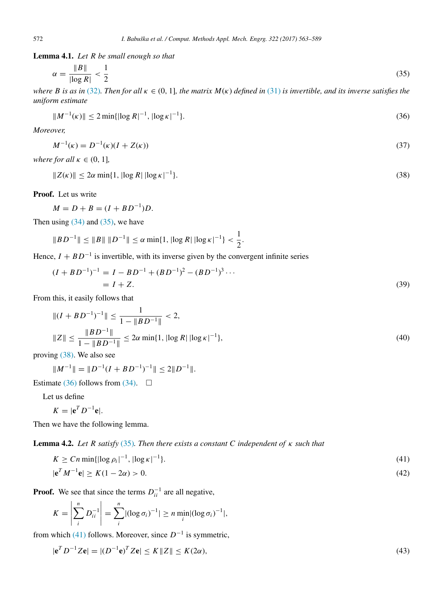<span id="page-9-8"></span>Lemma 4.1. *Let R be small enough so that*

<span id="page-9-0"></span>
$$
\alpha = \frac{\|B\|}{|\log R|} < \frac{1}{2} \tag{35}
$$

*where B is as in* [\(32\)](#page-8-2)*. Then for all*  $\kappa \in (0, 1]$ *, the matrix*  $M(\kappa)$  *defined in* [\(31\)](#page-8-3) *is invertible, and its inverse satisfies the uniform estimate*

<span id="page-9-2"></span>
$$
||M^{-1}(\kappa)|| \le 2 \min\{|\log R|^{-1}, |\log \kappa|^{-1}\}.
$$
\n(36)

*Moreover,*

<span id="page-9-4"></span>
$$
M^{-1}(\kappa) = D^{-1}(\kappa)(I + Z(\kappa))
$$
\n(37)

*where for all*  $\kappa \in (0, 1]$ *,* 

<span id="page-9-1"></span>
$$
||Z(\kappa)|| \le 2\alpha \min\{1, |\log R| \, |\log \kappa|^{-1}\}.\tag{38}
$$

1

Proof. Let us write

$$
M = D + B = (I + BD^{-1})D.
$$

Then using  $(34)$  and  $(35)$ , we have

$$
||BD^{-1}|| \le ||B|| \, ||D^{-1}|| \le \alpha \min\{1, |\log R| \, |\log \kappa|^{-1}\} < \frac{1}{2}.
$$

Hence,  $I + BD^{-1}$  is invertible, with its inverse given by the convergent infinite series

<span id="page-9-9"></span>
$$
(I + BD^{-1})^{-1} = I - BD^{-1} + (BD^{-1})^2 - (BD^{-1})^3 \cdots
$$
  
= I + Z. (39)

From this, it easily follows that

<span id="page-9-7"></span>
$$
||(I + BD^{-1})^{-1}|| \le \frac{1}{1 - ||BD^{-1}||} < 2,
$$
  

$$
||Z|| \le \frac{||BD^{-1}||}{1 - ||BD^{-1}||} \le 2\alpha \min\{1, |\log R| |\log \kappa|^{-1}\},
$$
 (40)

proving [\(38\).](#page-9-1) We also see

$$
||M^{-1}|| = ||D^{-1}(I + BD^{-1})^{-1}|| \le 2||D^{-1}||.
$$

Estimate [\(36\)](#page-9-2) follows from [\(34\).](#page-8-4)  $\Box$ 

Let us define

$$
K=|\mathbf{e}^T D^{-1}\mathbf{e}|.
$$

Then we have the following lemma.

Lemma 4.2. *Let R satisfy* [\(35\)](#page-9-0)*. Then there exists a constant C independent of* κ *such that*

<span id="page-9-3"></span>
$$
K \ge Cn \min\{|\log \rho_i|^{-1}, |\log \kappa|^{-1}\}.
$$
\n(41)

<span id="page-9-5"></span>
$$
|\mathbf{e}^T M^{-1} \mathbf{e}| \ge K(1 - 2\alpha) > 0. \tag{42}
$$

**Proof.** We see that since the terms  $D_{ii}^{-1}$  are all negative,

$$
K = \left| \sum_{i}^{n} D_{ii}^{-1} \right| = \sum_{i}^{n} |(\log \sigma_i)^{-1}| \ge n \min_{i} |(\log \sigma_i)^{-1}|,
$$

from which [\(41\)](#page-9-3) follows. Moreover, since  $D^{-1}$  is symmetric,

<span id="page-9-6"></span>
$$
|\mathbf{e}^T D^{-1} Z \mathbf{e}| = |(D^{-1} \mathbf{e})^T Z \mathbf{e}| \le K \|Z\| \le K(2\alpha),\tag{43}
$$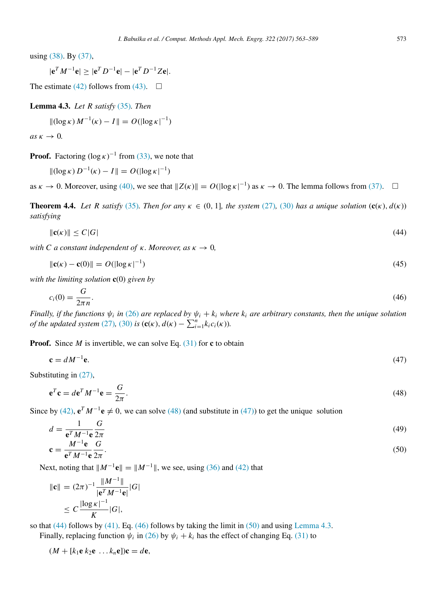using [\(38\).](#page-9-1) By [\(37\),](#page-9-4)

$$
|e^T M^{-1}e| \ge |e^T D^{-1}e| - |e^T D^{-1}Ze|.
$$

The estimate [\(42\)](#page-9-5) follows from [\(43\).](#page-9-6)  $\Box$ 

<span id="page-10-6"></span>Lemma 4.3. *Let R satisfy* [\(35\)](#page-9-0)*. Then*

$$
\|(\log \kappa) M^{-1}(\kappa) - I\| = O(|\log \kappa|^{-1})
$$

 $as \kappa \rightarrow 0$ .

**Proof.** Factoring  $(\log \kappa)^{-1}$  from [\(33\),](#page-8-5) we note that

$$
\|(\log \kappa) D^{-1}(\kappa) - I\| = O(|\log \kappa|^{-1})
$$

as  $\kappa \to 0$ . Moreover, using [\(40\),](#page-9-7) we see that  $||Z(\kappa)|| = O(||\log \kappa|^{-1})$  as  $\kappa \to 0$ . The lemma follows from [\(37\).](#page-9-4)  $\square$ 

<span id="page-10-0"></span>**Theorem 4.4.** *Let R satisfy* [\(35\)](#page-9-0)*. Then for any*  $\kappa \in (0, 1]$ *, the system* [\(27\)](#page-7-3)*,* [\(30\)](#page-7-5) *has a unique solution*  $(c(\kappa), d(\kappa))$ *satisfying*

<span id="page-10-3"></span>
$$
\|\mathbf{c}(\kappa)\| \le C|G| \tag{44}
$$

*with C a* constant independent of  $\kappa$ . Moreover, as  $\kappa \to 0$ ,

<span id="page-10-8"></span>
$$
\|\mathbf{c}(\kappa) - \mathbf{c}(0)\| = O(||\log \kappa|^{-1})\tag{45}
$$

*with the limiting solution* c(0) *given by*

<span id="page-10-4"></span>
$$
c_i(0) = \frac{G}{2\pi n}.\tag{46}
$$

*Finally, if the functions*  $\psi_i$  *in* [\(26\)](#page-7-2) *are replaced by*  $\psi_i + k_i$  *where*  $k_i$  *are arbitrary constants, then the unique solution of the updated system* [\(27\)](#page-7-3)*,* [\(30\)](#page-7-5) *is*  $(c(\kappa), d(\kappa) - \sum_{i=1}^{n} k_i c_i(\kappa))$ *.* 

**Proof.** Since *M* is invertible, we can solve Eq.  $(31)$  for c to obtain

<span id="page-10-2"></span>
$$
\mathbf{c} = dM^{-1}\mathbf{e}.\tag{47}
$$

Substituting in [\(27\),](#page-7-3)

<span id="page-10-1"></span>
$$
\mathbf{e}^T \mathbf{c} = d\mathbf{e}^T M^{-1} \mathbf{e} = \frac{G}{2\pi}.
$$
\n(48)

Since by [\(42\),](#page-9-5)  $e^T M^{-1} e \neq 0$ , we can solve [\(48\)](#page-10-1) (and substitute in [\(47\)\)](#page-10-2) to get the unique solution

<span id="page-10-7"></span>
$$
d = \frac{1}{\mathbf{e}^T M^{-1} \mathbf{e}} \frac{G}{2\pi} \tag{49}
$$

<span id="page-10-5"></span>
$$
\mathbf{c} = \frac{M^{-1}\mathbf{e}}{\mathbf{e}^T M^{-1}\mathbf{e}} \frac{G}{2\pi}.
$$

Next, noting that  $||M^{-1}e|| = ||M^{-1}||$ , we see, using [\(36\)](#page-9-2) and [\(42\)](#page-9-5) that

$$
\|\mathbf{c}\| = (2\pi)^{-1} \frac{\|M^{-1}\|}{|\mathbf{e}^T M^{-1} \mathbf{e}|} |G|
$$
  
 
$$
\leq C \frac{|\log \kappa|^{-1}}{K} |G|,
$$

so that  $(44)$  follows by  $(41)$ . Eq.  $(46)$  follows by taking the limit in  $(50)$  and using [Lemma 4.3.](#page-10-6)

Finally, replacing function  $\psi_i$  in [\(26\)](#page-7-2) by  $\psi_i + k_i$  has the effect of changing Eq. [\(31\)](#page-8-3) to

 $(M + [k_1 \mathbf{e} k_2 \mathbf{e} \dots k_n \mathbf{e}])\mathbf{c} = d\mathbf{e},$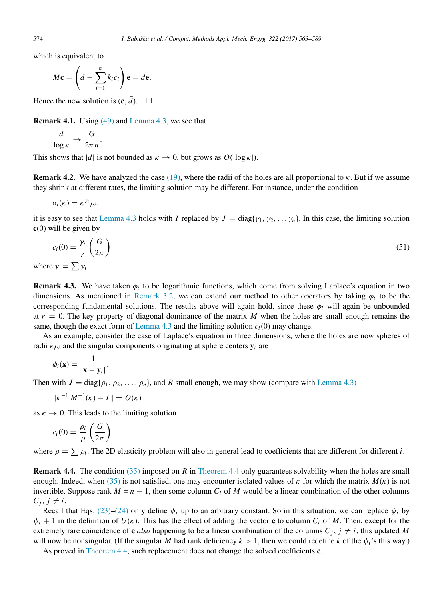which is equivalent to

$$
M\mathbf{c} = \left(d - \sum_{i=1}^n k_i c_i\right) \mathbf{e} = \tilde{d}\mathbf{e}.
$$

Hence the new solution is  $(c, \tilde{d})$ .  $\square$ 

Remark 4.1. Using [\(49\)](#page-10-7) and [Lemma 4.3,](#page-10-6) we see that

$$
\frac{d}{\log \kappa} \to \frac{G}{2\pi n}.
$$

This shows that  $|d|$  is not bounded as  $\kappa \to 0$ , but grows as  $O(|\log \kappa|)$ .

<span id="page-11-2"></span>**Remark 4.2.** We have analyzed the case [\(19\),](#page-5-8) where the radii of the holes are all proportional to  $\kappa$ . But if we assume they shrink at different rates, the limiting solution may be different. For instance, under the condition

 $\sigma_i(\kappa) = \kappa^{\gamma_i} \rho_i$ 

it is easy to see that [Lemma 4.3](#page-10-6) holds with *I* replaced by  $J = \text{diag}\{\gamma_1, \gamma_2, \dots, \gamma_n\}$ . In this case, the limiting solution  $c(0)$  will be given by

<span id="page-11-3"></span>
$$
c_i(0) = \frac{\gamma_i}{\gamma} \left(\frac{G}{2\pi}\right) \tag{51}
$$

where  $\gamma = \sum \gamma_i$ .

<span id="page-11-0"></span>**Remark 4.3.** We have taken  $\phi_i$  to be logarithmic functions, which come from solving Laplace's equation in two dimensions. As mentioned in [Remark 3.2,](#page-7-1) we can extend our method to other operators by taking  $\phi_i$  to be the corresponding fundamental solutions. The results above will again hold, since these  $\phi_i$  will again be unbounded at  $r = 0$ . The key property of diagonal dominance of the matrix M when the holes are small enough remains the same, though the exact form of [Lemma 4.3](#page-10-6) and the limiting solution  $c_i(0)$  may change.

As an example, consider the case of Laplace's equation in three dimensions, where the holes are now spheres of radii  $\kappa \rho_i$  and the singular components originating at sphere centers  $y_i$  are

$$
\phi_i(\mathbf{x}) = \frac{1}{|\mathbf{x} - \mathbf{y}_i|}.
$$

Then with  $J = \text{diag}\{\rho_1, \rho_2, \dots, \rho_n\}$ , and *R* small enough, we may show (compare with [Lemma 4.3\)](#page-10-6)

$$
\|\kappa^{-1} M^{-1}(\kappa) - I\| = O(\kappa)
$$

as  $\kappa \to 0$ . This leads to the limiting solution

$$
c_i(0) = \frac{\rho_i}{\rho} \left( \frac{G}{2\pi} \right)
$$

where  $\rho = \sum \rho_i$ . The 2D elasticity problem will also in general lead to coefficients that are different for different *i*.

<span id="page-11-1"></span>Remark 4.4. The condition [\(35\)](#page-9-0) imposed on *R* in [Theorem 4.4](#page-10-0) only guarantees solvability when the holes are small enough. Indeed, when [\(35\)](#page-9-0) is not satisfied, one may encounter isolated values of  $\kappa$  for which the matrix  $M(\kappa)$  is not invertible. Suppose rank  $M = n - 1$ , then some column  $C_i$  of M would be a linear combination of the other columns  $C_j$ ,  $j \neq i$ .

Recall that Eqs. [\(23\)](#page-6-1)[–\(24\)](#page-6-2) only define  $\psi_i$  up to an arbitrary constant. So in this situation, we can replace  $\psi_i$  by  $\psi_i + 1$  in the definition of  $U(\kappa)$ . This has the effect of adding the vector **e** to column  $C_i$  of M. Then, except for the extremely rare coincidence of **e** also happening to be a linear combination of the columns  $C_i$ ,  $j \neq i$ , this updated M will now be nonsingular. (If the singular *M* had rank deficiency  $k > 1$ , then we could redefine *k* of the  $\psi_i$ 's this way.)

As proved in [Theorem 4.4,](#page-10-0) such replacement does not change the solved coefficients **c**.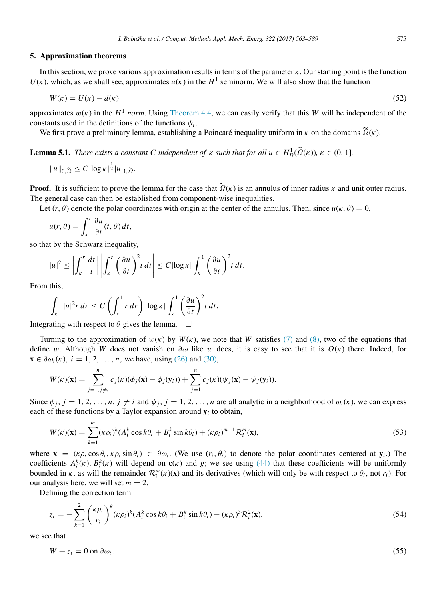## <span id="page-12-0"></span>5. Approximation theorems

In this section, we prove various approximation results in terms of the parameter  $\kappa$ . Our starting point is the function  $U(\kappa)$ , which, as we shall see, approximates  $u(\kappa)$  in the  $H^1$  seminorm. We will also show that the function

<span id="page-12-4"></span>
$$
W(\kappa) = U(\kappa) - d(\kappa) \tag{52}
$$

approximates  $w(\kappa)$  in the  $H^1$  *norm*. Using [Theorem 4.4,](#page-10-0) we can easily verify that this *W* will be independent of the constants used in the definitions of the functions  $\psi_i$ .

We first prove a preliminary lemma, establishing a Poincaré inequality uniform in  $\kappa$  on the domains  $\tilde{Q}(\kappa)$ .

<span id="page-12-3"></span>**Lemma 5.1.** *There exists a constant C independent of*  $\kappa$  *such that for all*  $u \in H_D^1(\tilde{\Omega}(\kappa))$ ,  $\kappa \in (0, 1]$ ,

$$
||u||_{0,\widetilde{\Omega}} \leq C |\log \kappa|^{\frac{1}{2}} |u|_{1,\widetilde{\Omega}}.
$$

**Proof.** It is sufficient to prove the lemma for the case that  $\tilde{Q}(\kappa)$  is an annulus of inner radius  $\kappa$  and unit outer radius. The general case can then be established from component-wise inequalities.

Let  $(r, \theta)$  denote the polar coordinates with origin at the center of the annulus. Then, since  $u(\kappa, \theta) = 0$ ,

$$
u(r,\theta) = \int_{\kappa}^{r} \frac{\partial u}{\partial t}(t,\theta) dt,
$$

so that by the Schwarz inequality,

$$
|u|^2 \leq \left| \int_{\kappa}^r \frac{dt}{t} \right| \left| \int_{\kappa}^r \left( \frac{\partial u}{\partial t} \right)^2 t \, dt \right| \leq C |\log \kappa| \int_{\kappa}^1 \left( \frac{\partial u}{\partial t} \right)^2 t \, dt.
$$

From this,

$$
\int_{\kappa}^{1} |u|^2 r \, dr \leq C \left( \int_{\kappa}^{1} r \, dr \right) |\log \kappa| \int_{\kappa}^{1} \left( \frac{\partial u}{\partial t} \right)^2 t \, dt.
$$

Integrating with respect to  $\theta$  gives the lemma.  $\Box$ 

Turning to the approximation of  $w(\kappa)$  by  $W(\kappa)$ , we note that W satisfies [\(7\)](#page-4-0) and [\(8\),](#page-4-3) two of the equations that define w. Although *W* does not vanish on  $\partial \omega$  like w does, it is easy to see that it is  $O(\kappa)$  there. Indeed, for  $\mathbf{x} \in \partial \omega_i(\kappa), i = 1, 2, \dots, n$ , we have, using [\(26\)](#page-7-2) and [\(30\),](#page-7-5)

$$
W(\kappa)(\mathbf{x}) = \sum_{j=1, j\neq i}^{n} c_j(\kappa)(\phi_j(\mathbf{x}) - \phi_j(\mathbf{y}_i)) + \sum_{j=1}^{n} c_j(\kappa)(\psi_j(\mathbf{x}) - \psi_j(\mathbf{y}_i)).
$$

Since  $\phi_i$ ,  $j = 1, 2, ..., n$ ,  $j \neq i$  and  $\psi_i$ ,  $j = 1, 2, ..., n$  are all analytic in a neighborhood of  $\omega_i(\kappa)$ , we can express each of these functions by a Taylor expansion around  $y_i$  to obtain,

<span id="page-12-5"></span>
$$
W(\kappa)(\mathbf{x}) = \sum_{k=1}^{m} (\kappa \rho_i)^k (A_i^k \cos k\theta_i + B_i^k \sin k\theta_i) + (\kappa \rho_i)^{m+1} \mathcal{R}_i^m(\mathbf{x}),
$$
\n(53)

where  $\mathbf{x} = (\kappa \rho_i \cos \theta_i, \kappa \rho_i \sin \theta_i) \in \partial \omega_i$ . (We use  $(r_i, \theta_i)$  to denote the polar coordinates centered at  $\mathbf{y}_i$ .) The coefficients  $A_i^k(\kappa)$ ,  $B_i^k(\kappa)$  will depend on  $c(\kappa)$  and *g*; we see using [\(44\)](#page-10-3) that these coefficients will be uniformly bounded in  $\kappa$ , as will the remainder  $\mathcal{R}_i^m(\kappa)(\mathbf{x})$  and its derivatives (which will only be with respect to  $\theta_i$ , not  $r_i$ ). For our analysis here, we will set  $m = 2$ .

Defining the correction term

<span id="page-12-2"></span>
$$
z_i = -\sum_{k=1}^2 \left(\frac{\kappa \rho_i}{r_i}\right)^k (\kappa \rho_i)^k (A_i^k \cos k\theta_i + B_i^k \sin k\theta_i) - (\kappa \rho_i)^3 \mathcal{R}_i^2(\mathbf{x}),\tag{54}
$$

we see that

<span id="page-12-1"></span>
$$
W + z_i = 0 \text{ on } \partial \omega_i. \tag{55}
$$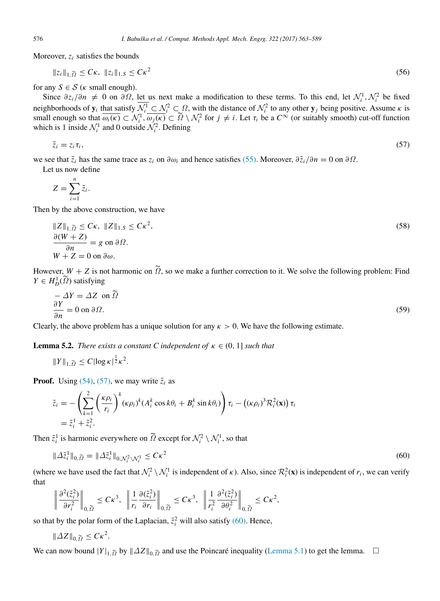Moreover,  $z_i$  satisfies the bounds

$$
||z_i||_{1,\widetilde{\Omega}} \leq C\kappa, ||z_i||_{1,S} \leq C\kappa^2
$$
\n
$$
(56)
$$

for any  $S \in \mathcal{S}$  ( $\kappa$  small enough).

Since  $\partial z_i/\partial n \neq 0$  on  $\partial \Omega$ , let us next make a modification to these terms. To this end, let  $\mathcal{N}_i^1, \mathcal{N}_i^2$  be fixed neighborhoods of  $y_i$  that satisfy  $\mathcal{N}_i^1 \subset \mathcal{N}_i^2 \subset \Omega$ , with the distance of  $\mathcal{N}_i^2$  to any other  $y_j$  being positive. Assume  $\kappa$  is small enough so that  $\overline{\omega_i(\kappa)} \subset \mathcal{N}_i^1$ ,  $\overline{\omega_j(\kappa)} \subset \widetilde{\Omega} \setminus \mathcal{N}_i^2$  for  $j \neq i$ . Let  $\tau_i$  be a  $C^{\infty}$  (or suitably smooth) cut-off function which is 1 inside  $\mathcal{N}_i^1$  and 0 outside  $\mathcal{N}_i^2$ . Defining

<span id="page-13-0"></span>
$$
\tilde{z}_i = z_i \tau_i, \tag{57}
$$

we see that  $\tilde{z}_i$  has the same trace as  $z_i$  on  $\partial \omega_i$  and hence satisfies [\(55\).](#page-12-1) Moreover,  $\partial \tilde{z}_i / \partial n = 0$  on  $\partial \Omega$ . Let us now define

$$
Z=\sum_{i=1}^n \tilde{z}_i.
$$

Then by the above construction, we have

<span id="page-13-2"></span>
$$
||Z||_{1,\tilde{\Omega}} \leq C\kappa, ||Z||_{1,S} \leq C\kappa^2,
$$
  
\n
$$
\frac{\partial (W+Z)}{\partial n} = g \text{ on } \partial \Omega.
$$
  
\n
$$
W+Z = 0 \text{ on } \partial \omega.
$$
\n(58)

However,  $W + Z$  is not harmonic on  $\tilde{\Omega}$ , so we make a further correction to it. We solve the following problem: Find  $Y \in H_D^1(\tilde{\Omega})$  satisfying

$$
-\Delta Y = \Delta Z \text{ on } \tilde{\Omega}
$$
  
\n
$$
\frac{\partial Y}{\partial n} = 0 \text{ on } \partial \Omega.
$$
 (59)

Clearly, the above problem has a unique solution for any  $\kappa > 0$ . We have the following estimate.

<span id="page-13-3"></span>**Lemma 5.2.** *There exists a constant C independent of*  $\kappa \in (0, 1]$  *such that* 

$$
||Y||_{1,\widetilde{\Omega}} \leq C |\log \kappa|^{\frac{1}{2}} \kappa^2.
$$

**Proof.** Using  $(54)$ ,  $(57)$ , we may write  $\tilde{z}_i$  as

$$
\tilde{z}_i = -\left(\sum_{k=1}^2 \left(\frac{\kappa \rho_i}{r_i}\right)^k (\kappa \rho_i)^k (A_i^k \cos k\theta_i + B_i^k \sin k\theta_i)\right) \tau_i - ((\kappa \rho_i)^3 \mathcal{R}_i^2(\mathbf{x})) \tau_i
$$
  
=  $\tilde{z}_i^1 + \tilde{z}_i^2$ .

Then  $\tilde{z}_i^1$  is harmonic everywhere on  $\tilde{\Omega}$  except for  $\mathcal{N}_i^2 \setminus \mathcal{N}_i^1$ , so that

<span id="page-13-1"></span>
$$
\|\Delta \tilde{z}_i^1\|_{0,\widetilde{\Omega}} = \|\Delta \tilde{z}_i^1\|_{0,\mathcal{N}_i^2 \setminus \mathcal{N}_i^1} \le C\kappa^2
$$
\n(60)

(where we have used the fact that  $\mathcal{N}_i^2 \setminus \mathcal{N}_i^1$  is independent of  $\kappa$ ). Also, since  $\mathcal{R}_i^2(\mathbf{x})$  is independent of  $r_i$ , we can verify that

$$
\left\|\frac{\partial^2(\tilde{z}_i^2)}{\partial r_i^2}\right\|_{0,\widetilde{\Omega}} \leq C\kappa^3, \ \left\|\frac{1}{r_i}\frac{\partial(\tilde{z}_i^2)}{\partial r_i}\right\|_{0,\widetilde{\Omega}} \leq C\kappa^3, \ \left\|\frac{1}{r_i^2}\frac{\partial^2(\tilde{z}_i^2)}{\partial \theta_i^2}\right\|_{0,\widetilde{\Omega}} \leq C\kappa^2,
$$

so that by the polar form of the Laplacian,  $\tilde{z}_i^2$  will also satisfy [\(60\).](#page-13-1) Hence,

$$
\|\Delta Z\|_{0,\widetilde{\Omega}}\leq C\kappa^2.
$$

We can now bound  $|Y|_{1,\tilde{\Omega}}$  by  $||\Delta Z||_{0,\tilde{\Omega}}$  and use the Poincaré inequality ([Lemma 5.1\)](#page-12-3) to get the lemma. □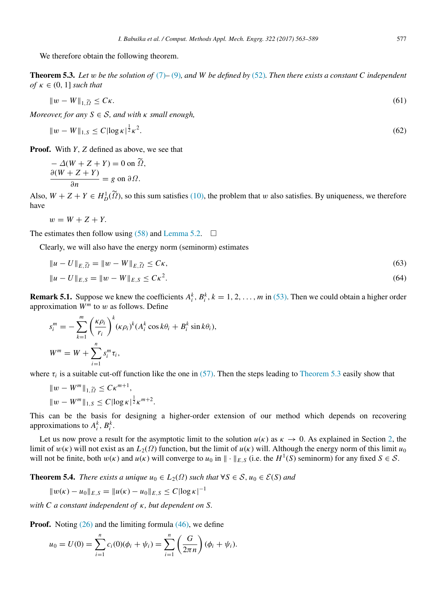We therefore obtain the following theorem.

<span id="page-14-1"></span>Theorem 5.3. *Let* w *be the solution of* [\(7\)](#page-4-0)*–* [\(9\)](#page-4-1)*, and W be defined by* [\(52\)](#page-12-4)*. Then there exists a constant C independent of*  $\kappa \in (0, 1]$  *such that* 

$$
\|w - W\|_{1,\widetilde{\Omega}} \leq C\kappa. \tag{61}
$$

*Moreover, for any*  $S \in S$ *, and with*  $\kappa$  *small enough,* 

$$
||w - W||_{1, S} \le C |\log \kappa|^{\frac{1}{2}} \kappa^2. \tag{62}
$$

Proof. With *Y*, *Z* defined as above, we see that

$$
\frac{-\Delta(W+Z+Y)}{\partial n} = g \text{ on } \tilde{\Omega},
$$
  

$$
\frac{\partial(W+Z+Y)}{\partial n} = g \text{ on } \partial \Omega.
$$

Also,  $W + Z + Y \in H^1_D(\tilde{\Omega})$ , so this sum satisfies [\(10\),](#page-4-5) the problem that w also satisfies. By uniqueness, we therefore have

$$
w = W + Z + Y.
$$

The estimates then follow using [\(58\)](#page-13-2) and [Lemma 5.2.](#page-13-3)  $\Box$ 

Clearly, we will also have the energy norm (seminorm) estimates

$$
||u - U||_{E, \widetilde{\Omega}} = ||w - W||_{E, \widetilde{\Omega}} \leq C\kappa,
$$
\n(63)

<span id="page-14-2"></span>
$$
||u - U||_{E,S} = ||w - W||_{E,S} \le C\kappa^2.
$$
\n(64)

<span id="page-14-3"></span>**Remark 5.1.** Suppose we knew the coefficients  $A_i^k$ ,  $B_i^k$ ,  $k = 1, 2, ..., m$  in [\(53\).](#page-12-5) Then we could obtain a higher order approximation  $W^m$  to w as follows. Define

$$
s_i^m = -\sum_{k=1}^m \left(\frac{\kappa \rho_i}{r_i}\right)^k (\kappa \rho_i)^k (A_i^k \cos k\theta_i + B_i^k \sin k\theta_i),
$$
  

$$
W^m = W + \sum_{i=1}^n s_i^m \tau_i,
$$

where  $\tau_i$  is a suitable cut-off function like the one in [\(57\).](#page-13-0) Then the steps leading to [Theorem 5.3](#page-14-1) easily show that

$$
||w - Wm||1, \tilde{Q} \le C\kappa^{m+1},
$$
  

$$
||w - Wm||1, S \le C |log \kappa|^{1/2} \kappa^{m+2}
$$

This can be the basis for designing a higher-order extension of our method which depends on recovering approximations to  $A_i^k$ ,  $B_i^k$ .

Let us now prove a result for the asymptotic limit to the solution  $u(\kappa)$  as  $\kappa \to 0$ . As explained in Section [2,](#page-3-0) the limit of  $w(\kappa)$  will not exist as an  $L_2(\Omega)$  function, but the limit of  $u(\kappa)$  will. Although the energy norm of this limit  $u_0$ will not be finite, both  $w(\kappa)$  and  $u(\kappa)$  will converge to  $u_0$  in  $\|\cdot\|_{E,S}$  (i.e. the  $H^1(S)$  seminorm) for any fixed  $S \in S$ .

<span id="page-14-0"></span>**Theorem 5.4.** *There exists a unique*  $u_0 \in L_2(\Omega)$  *such that*  $\forall S \in S$ ,  $u_0 \in \mathcal{E}(S)$  *and* 

.

$$
||w(\kappa) - u_0||_{E,S} = ||u(\kappa) - u_0||_{E,S} \le C |\log \kappa|^{-1}
$$

*with C a constant independent of* κ*, but dependent on S.*

**Proof.** Noting  $(26)$  and the limiting formula  $(46)$ , we define

$$
u_0 = U(0) = \sum_{i=1}^n c_i(0)(\phi_i + \psi_i) = \sum_{i=1}^n \left(\frac{G}{2\pi n}\right)(\phi_i + \psi_i).
$$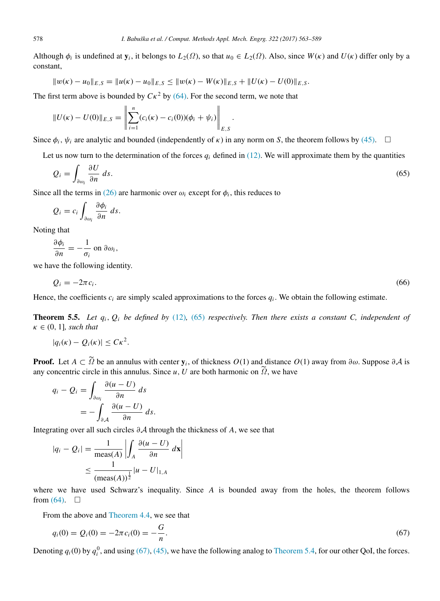Although  $\phi_i$  is undefined at  $y_i$ , it belongs to  $L_2(\Omega)$ , so that  $u_0 \in L_2(\Omega)$ . Also, since  $W(\kappa)$  and  $U(\kappa)$  differ only by a constant,

$$
||w(\kappa) - u_0||_{E,S} = ||u(\kappa) - u_0||_{E,S} \le ||w(\kappa) - W(\kappa)||_{E,S} + ||U(\kappa) - U(0)||_{E,S}.
$$

The first term above is bounded by  $C\kappa^2$  by [\(64\).](#page-14-2) For the second term, we note that

$$
||U(\kappa) - U(0)||_{E,S} = \left\| \sum_{i=1}^{n} (c_i(\kappa) - c_i(0)) (\phi_i + \psi_i) \right\|_{E,S}.
$$

Since  $\phi_i$ ,  $\psi_i$  are analytic and bounded (independently of  $\kappa$ ) in any norm on *S*, the theorem follows by [\(45\).](#page-10-8)  $\Box$ 

Let us now turn to the determination of the forces  $q_i$  defined in [\(12\).](#page-4-6) We will approximate them by the quantities

<span id="page-15-1"></span>
$$
Q_i = \int_{\partial \omega_i} \frac{\partial U}{\partial n} ds. \tag{65}
$$

Since all the terms in [\(26\)](#page-7-2) are harmonic over  $\omega_i$  except for  $\phi_i$ , this reduces to

$$
Q_i = c_i \int_{\partial \omega_i} \frac{\partial \phi_i}{\partial n} ds.
$$

Noting that

$$
\frac{\partial \phi_i}{\partial n} = -\frac{1}{\sigma_i} \text{ on } \partial \omega_i,
$$

we have the following identity.

<span id="page-15-0"></span> $Q_i = -2\pi c_i$ . .  $(66)$ 

Hence, the coefficients  $c_i$  are simply scaled approximations to the forces  $q_i$ . We obtain the following estimate.

<span id="page-15-3"></span>**Theorem 5.5.** Let  $q_i$ ,  $Q_i$  be defined by [\(12\)](#page-4-6), [\(65\)](#page-15-1) respectively. Then there exists a constant C, independent of  $\kappa \in (0, 1]$ *, such that* 

$$
|q_i(\kappa) - Q_i(\kappa)| \leq C\kappa^2.
$$

**Proof.** Let  $A \subset \tilde{\Omega}$  be an annulus with center  $y_i$ , of thickness  $O(1)$  and distance  $O(1)$  away from ∂ $\omega$ . Suppose ∂A is any concentric circle in this annulus. Since *u*, *U* are both harmonic on  $\tilde{\Omega}$ , we have

$$
q_i - Q_i = \int_{\partial \omega_i} \frac{\partial (u - U)}{\partial n} ds
$$
  
= 
$$
- \int_{\partial \mathcal{A}} \frac{\partial (u - U)}{\partial n} ds.
$$

Integrating over all such circles ∂A through the thickness of *A*, we see that

$$
|q_i - Q_i| = \frac{1}{\max(A)} \left| \int_A \frac{\partial(u - U)}{\partial n} \, dx \right|
$$
  
 
$$
\leq \frac{1}{(\max(A))^{\frac{1}{2}}} |u - U|_{1,A}
$$

where we have used Schwarz's inequality. Since *A* is bounded away from the holes, the theorem follows from  $(64)$ .  $\Box$ 

From the above and [Theorem 4.4,](#page-10-0) we see that

<span id="page-15-2"></span>
$$
q_i(0) = Q_i(0) = -2\pi c_i(0) = -\frac{G}{n}.
$$
\n(67)

Denoting  $q_i(0)$  by  $q_i^0$ , and using [\(67\),](#page-15-2) [\(45\),](#page-10-8) we have the following analog to [Theorem 5.4,](#page-14-0) for our other QoI, the forces.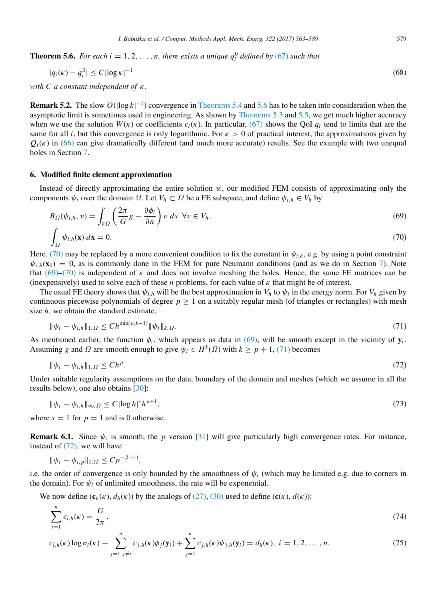<span id="page-16-0"></span>**Theorem 5.6.** *For each i* = 1, 2, ..., *n*, there exists a unique  $q_i^0$  defined by [\(67\)](#page-15-2) such that

$$
|q_i(\kappa) - q_i^0| \le C |\log \kappa|^{-1} \tag{68}
$$

*with C a constant independent of* κ*.*

<span id="page-16-9"></span>**Remark 5.2.** The slow  $O(|\log k|^{-1})$  convergence in [Theorems 5.4](#page-14-0) and [5.6](#page-16-0) has to be taken into consideration when the asymptotic limit is sometimes used in engineering. As shown by [Theorems 5.3](#page-14-1) and [5.5,](#page-15-3) we get much higher accuracy when we use the solution  $W(\kappa)$  or coefficients  $c_i(\kappa)$ . In particular, [\(67\)](#page-15-2) shows the QoI  $q_i$  tend to limits that are the same for all *i*, but this convergence is only logarithmic. For  $\kappa > 0$  of practical interest, the approximations given by  $Q_i(\kappa)$  in [\(66\)](#page-15-0) can give dramatically different (and much more accurate) results. See the example with two unequal holes in Section [7.](#page-18-0)

# <span id="page-16-1"></span>6. Modified finite element approximation

Instead of directly approximating the entire solution  $w$ , our modified FEM consists of approximating only the components  $\psi_i$  over the domain  $\Omega$ . Let  $V_h \subset \Omega$  be a FE subspace, and define  $\psi_{i,h} \in V_h$  by

<span id="page-16-3"></span>
$$
B_{\Omega}(\psi_{i,h}, v) = \int_{\partial\Omega} \left( \frac{2\pi}{G} g - \frac{\partial \phi_i}{\partial n} \right) v \, ds \ \forall v \in V_h,
$$
\n
$$
(69)
$$

<span id="page-16-2"></span>
$$
\int_{\Omega} \psi_{i,h}(\mathbf{x}) \, d\mathbf{x} = 0. \tag{70}
$$

Here, [\(70\)](#page-16-2) may be replaced by a more convenient condition to fix the constant in  $\psi_{i,h}$ , e.g. by using a point constraint  $\psi_{i,h}(\mathbf{x}_0) = 0$ , as is commonly done in the FEM for pure Neumann conditions (and as we do in Section [7\)](#page-18-0). Note that [\(69\)](#page-16-3)[–\(70\)](#page-16-2) is independent of  $\kappa$  and does not involve meshing the holes. Hence, the same FE matrices can be (inexpensively) used to solve each of these *n* problems, for each value of κ that might be of interest.

The usual FE theory shows that  $\psi_{i,h}$  will be the best approximation in  $V_h$  to  $\psi_i$  in the energy norm. For  $V_h$  given by continuous piecewise polynomials of degree  $p \ge 1$  on a suitably regular mesh (of triangles or rectangles) with mesh size *h*, we obtain the standard estimate,

<span id="page-16-4"></span>
$$
\|\psi_i - \psi_{i,h}\|_{1,\Omega} \le Ch^{\min(p,k-1)} \|\psi_i\|_{k,\Omega}.
$$
\n(71)

As mentioned earlier, the function  $\phi_i$ , which appears as data in [\(69\),](#page-16-3) will be smooth except in the vicinity of  $y_i$ . Assuming *g* and  $\Omega$  are smooth enough to give  $\psi_i \in H^k(\Omega)$  with  $k \geq p + 1$ , [\(71\)](#page-16-4) becomes

<span id="page-16-5"></span>
$$
\|\psi_i - \psi_{i,h}\|_{1,\Omega} \le Ch^p. \tag{72}
$$

Under suitable regularity assumptions on the data, boundary of the domain and meshes (which we assume in all the results below), one also obtains [\[30\]](#page-26-16):

<span id="page-16-6"></span>
$$
\|\psi_i - \psi_{i,h}\|_{\infty, \Omega} \le C |\log h|^s h^{p+1},\tag{73}
$$

where  $s = 1$  for  $p = 1$  and is 0 otherwise.

**Remark 6.1.** Since  $\psi_i$  is smooth, the *p* version [\[31\]](#page-26-17) will give particularly high convergence rates. For instance, instead of [\(72\),](#page-16-5) we will have

$$
\|\psi_i - \psi_{i,p}\|_{1,\Omega} \le C p^{-(k-1)},
$$

i.e. the order of convergence is only bounded by the smoothness of  $\psi_i$  (which may be limited e.g. due to corners in the domain). For  $\psi_i$  of unlimited smoothness, the rate will be exponential.

We now define  $(c_h(\kappa), d_h(\kappa))$  by the analogs of [\(27\),](#page-7-3) [\(30\)](#page-7-5) used to define  $(c(\kappa), d(\kappa))$ :

<span id="page-16-7"></span>
$$
\sum_{i=1}^{n} c_{i,h}(\kappa) = \frac{G}{2\pi}.
$$
\n(74)

<span id="page-16-8"></span>
$$
c_{i,h}(\kappa) \log \sigma_i(\kappa) + \sum_{j=1, j \neq i}^{n} c_{j,h}(\kappa) \phi_j(\mathbf{y}_i) + \sum_{j=1}^{n} c_{j,h}(\kappa) \psi_{j,h}(\mathbf{y}_i) = d_h(\kappa), \ i = 1, 2, ..., n.
$$
 (75)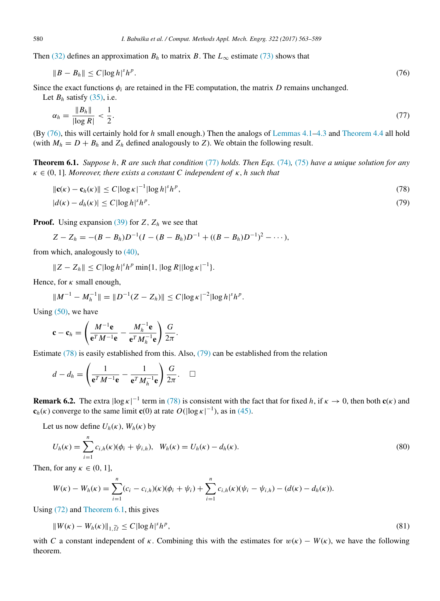Then [\(32\)](#page-8-2) defines an approximation  $B_h$  to matrix *B*. The  $L_\infty$  estimate [\(73\)](#page-16-6) shows that

<span id="page-17-0"></span>
$$
||B - B_h|| \le C |\log h|^s h^p. \tag{76}
$$

Since the exact functions  $\phi_i$  are retained in the FE computation, the matrix *D* remains unchanged.

<span id="page-17-1"></span>Let 
$$
B_h
$$
 satisfy (35), i.e.  
\n
$$
\alpha_h = \frac{\|B_h\|}{|\log R|} < \frac{1}{2}.\tag{77}
$$

(By [\(76\),](#page-17-0) this will certainly hold for *h* small enough.) Then the analogs of [Lemmas 4.1–](#page-9-8)[4.3](#page-10-6) and [Theorem 4.4](#page-10-0) all hold (with  $M_h = D + B_h$  and  $Z_h$  defined analogously to *Z*). We obtain the following result.

<span id="page-17-4"></span>Theorem 6.1. *Suppose h*, *R are such that condition* [\(77\)](#page-17-1) *holds. Then Eqs.* [\(74\)](#page-16-7)*,* [\(75\)](#page-16-8) *have a unique solution for any*  $\kappa \in (0, 1]$ *. Moreover, there exists a constant C independent of*  $\kappa$ *, h such that* 

<span id="page-17-3"></span><span id="page-17-2"></span>
$$
\|\mathbf{c}(\kappa) - \mathbf{c}_h(\kappa)\| \le C |\log \kappa|^{-1} |\log h|^s h^p,
$$
  
\n
$$
|d(\kappa) - d_h(\kappa)| \le C |\log h|^s h^p.
$$
\n(78)

**Proof.** Using expansion [\(39\)](#page-9-9) for  $Z$ ,  $Z_h$  we see that

$$
Z - Z_h = -(B - B_h)D^{-1}(I - (B - B_h)D^{-1} + ((B - B_h)D^{-1})^2 - \cdots),
$$

from which, analogously to [\(40\),](#page-9-7)

$$
||Z - Z_h|| \leq C |\log h|^s h^p \min\{1, |\log R| |\log \kappa|^{-1}\}.
$$

Hence, for  $\kappa$  small enough,

$$
||M^{-1} - M_h^{-1}|| = ||D^{-1}(Z - Z_h)|| \le C |\log \kappa|^{-2} |\log h|^s h^p.
$$

Using  $(50)$ , we have

$$
\mathbf{c} - \mathbf{c}_h = \left(\frac{M^{-1}\mathbf{e}}{\mathbf{e}^T M^{-1}\mathbf{e}} - \frac{M_h^{-1}\mathbf{e}}{\mathbf{e}^T M_h^{-1}\mathbf{e}}\right) \frac{G}{2\pi}.
$$

Estimate [\(78\)](#page-17-2) is easily established from this. Also, [\(79\)](#page-17-3) can be established from the relation

$$
d - d_h = \left(\frac{1}{\mathbf{e}^T M^{-1} \mathbf{e}} - \frac{1}{\mathbf{e}^T M_h^{-1} \mathbf{e}}\right) \frac{G}{2\pi}.\quad \Box
$$

<span id="page-17-7"></span>**Remark 6.2.** The extra  $\log \kappa$  | term in [\(78\)](#page-17-2) is consistent with the fact that for fixed *h*, if  $\kappa \to 0$ , then both **c**( $\kappa$ ) and  $\mathbf{c}_h(\kappa)$  converge to the same limit  $\mathbf{c}(0)$  at rate  $O(|\log \kappa|^{-1})$ , as in [\(45\).](#page-10-8)

Let us now define  $U_h(\kappa)$ ,  $W_h(\kappa)$  by

<span id="page-17-5"></span>
$$
U_h(\kappa) = \sum_{i=1}^n c_{i,h}(\kappa)(\phi_i + \psi_{i,h}), \ \ W_h(\kappa) = U_h(\kappa) - d_h(\kappa).
$$
\n(80)

Then, for any  $\kappa \in (0, 1]$ ,

$$
W(\kappa) - W_h(\kappa) = \sum_{i=1}^n (c_i - c_{i,h})(\kappa)(\phi_i + \psi_i) + \sum_{i=1}^n c_{i,h}(\kappa)(\psi_i - \psi_{i,h}) - (d(\kappa) - d_h(\kappa)).
$$

Using [\(72\)](#page-16-5) and [Theorem 6.1,](#page-17-4) this gives

<span id="page-17-6"></span>
$$
||W(\kappa) - W_h(\kappa)||_{1,\widetilde{\Omega}} \le C |\log h|^s h^p, \tag{81}
$$

with *C* a constant independent of  $\kappa$ . Combining this with the estimates for  $w(\kappa) - W(\kappa)$ , we have the following theorem.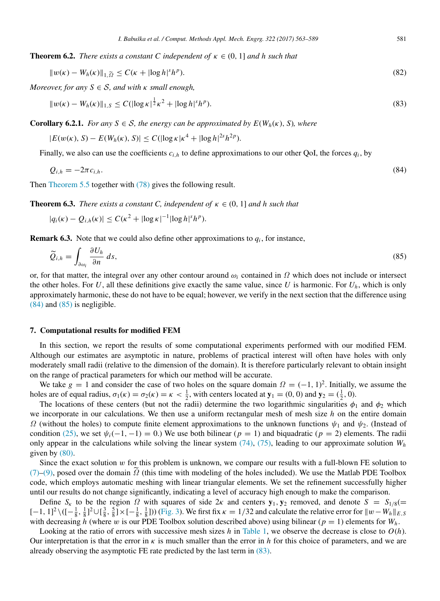<span id="page-18-4"></span>**Theorem 6.2.** *There exists a constant C independent of*  $\kappa \in (0, 1]$  *and h such that* 

<span id="page-18-5"></span>
$$
||w(\kappa) - W_h(\kappa)||_{1, \widetilde{\Omega}} \le C(\kappa + |\log h|^s h^p). \tag{82}
$$

*Moreover, for any*  $S \in S$ *, and with*  $\kappa$  *small enough,* 

<span id="page-18-3"></span>
$$
||w(\kappa) - W_h(\kappa)||_{1,S} \le C(|\log \kappa|^{\frac{1}{2}}\kappa^2 + |\log h|^s h^p). \tag{83}
$$

<span id="page-18-7"></span>**Corollary 6.2.1.** *For any*  $S \in S$ *, the energy can be approximated by*  $E(W_h(\kappa), S)$ *, where* 

$$
|E(w(\kappa), S) - E(W_h(\kappa), S)| \le C(|\log \kappa|\kappa^4 + |\log h|^{2s} h^{2p}).
$$

Finally, we also can use the coefficients  $c_{i,h}$  to define approximations to our other QoI, the forces  $q_i$ , by

<span id="page-18-1"></span>
$$
Q_{i,h} = -2\pi c_{i,h}.\tag{84}
$$

Then [Theorem 5.5](#page-15-3) together with [\(78\)](#page-17-2) gives the following result.

<span id="page-18-8"></span>**Theorem 6.3.** *There exists a constant C, independent of*  $\kappa \in (0, 1]$  *and h such that* 

$$
|q_i(\kappa) - Q_{i,h}(\kappa)| \le C(\kappa^2 + |\log \kappa|^{-1} |\log h|^s h^p).
$$

<span id="page-18-6"></span>**Remark 6.3.** Note that we could also define other approximations to  $q_i$ , for instance,

<span id="page-18-2"></span>
$$
\widetilde{Q}_{i,h} = \int_{\partial \omega_i} \frac{\partial U_h}{\partial n} ds,
$$
\n(85)

or, for that matter, the integral over any other contour around  $\omega_i$  contained in  $\Omega$  which does not include or intersect the other holes. For  $U$ , all these definitions give exactly the same value, since  $U$  is harmonic. For  $U_h$ , which is only approximately harmonic, these do not have to be equal; however, we verify in the next section that the difference using [\(84\)](#page-18-1) and [\(85\)](#page-18-2) is negligible.

#### <span id="page-18-0"></span>7. Computational results for modified FEM

In this section, we report the results of some computational experiments performed with our modified FEM. Although our estimates are asymptotic in nature, problems of practical interest will often have holes with only moderately small radii (relative to the dimension of the domain). It is therefore particularly relevant to obtain insight on the range of practical parameters for which our method will be accurate.

We take  $g = 1$  and consider the case of two holes on the square domain  $\Omega = (-1, 1)^2$ . Initially, we assume the holes are of equal radius,  $\sigma_1(\kappa) = \sigma_2(\kappa) = \kappa < \frac{1}{2}$ , with centers located at  $\mathbf{y}_1 = (0, 0)$  and  $\mathbf{y}_2 = (\frac{1}{2}, 0)$ .

The locations of these centers (but not the radii) determine the two logarithmic singularities  $\phi_1$  and  $\phi_2$  which we incorporate in our calculations. We then use a uniform rectangular mesh of mesh size *h* on the entire domain  $\Omega$  (without the holes) to compute finite element approximations to the unknown functions  $\psi_1$  and  $\psi_2$ . (Instead of condition [\(25\),](#page-6-5) we set  $\psi_i(-1, -1) = 0$ .) We use both bilinear (*p* = 1) and biquadratic (*p* = 2) elements. The radii only appear in the calculations while solving the linear system  $(74)$ ,  $(75)$ , leading to our approximate solution  $W_h$ given by [\(80\).](#page-17-5)

Since the exact solution w for this problem is unknown, we compare our results with a full-blown FE solution to [\(7\)–](#page-4-0)[\(9\),](#page-4-1) posed over the domain  $\Omega$  (this time with modeling of the holes included). We use the Matlab PDE Toolbox code, which employs automatic meshing with linear triangular elements. We set the refinement successfully higher until our results do not change significantly, indicating a level of accuracy high enough to make the comparison.

Define  $S_k$  to be the region  $\Omega$  with squares of side  $2k$  and centers  $y_1, y_2$  removed, and denote  $S = S_{1/8} (=$  $[-1, 1]^2 \setminus \left( \left[ -\frac{1}{8}, \frac{1}{8} \right]^2 \cup \left[ \frac{3}{8}, \frac{5}{8} \right] \times \left[ -\frac{1}{8}, \frac{1}{8} \right]$ )) [\(Fig. 3\)](#page-19-0). We first fix  $\kappa = 1/32$  and calculate the relative error for  $||w - W_h||_{E, S}$ with decreasing *h* (where w is our PDE Toolbox solution described above) using bilinear ( $p = 1$ ) elements for  $W_h$ .

Looking at the ratio of errors with successive mesh sizes  $h$  in [Table 1,](#page-19-1) we observe the decrease is close to  $O(h)$ . Our interpretation is that the error in  $\kappa$  is much smaller than the error in *h* for this choice of parameters, and we are already observing the asymptotic FE rate predicted by the last term in [\(83\).](#page-18-3)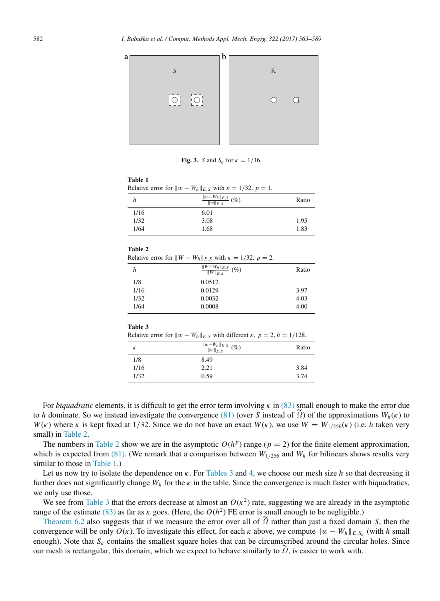<span id="page-19-0"></span>

Fig. 3. *S* and  $S_k$  for  $\kappa = 1/16$ .

<span id="page-19-1"></span>Relative error for  $||w - W_h||_{E,S}$  with  $\kappa = 1/32$ ,  $p = 1$ .

| h    | $\frac{\ w-W_h\ _{E,S}}{\ w\ _{E,S}}$ (%) | Ratio |
|------|-------------------------------------------|-------|
| 1/16 | 6.01                                      |       |
| 1/32 | 3.08                                      | 1.95  |
| 1/64 | 1.68                                      | 1.83  |

## <span id="page-19-2"></span>Table 2

Relative error for  $||W - W_h||_{E,S}$  with  $\kappa = 1/32$ ,  $p = 2$ .

| h    | $\frac{\ W-W_h\ _{E,S}}{\ W\ _{E,S}}$ (%) | Ratio |
|------|-------------------------------------------|-------|
| 1/8  | 0.0512                                    |       |
| 1/16 | 0.0129                                    | 3.97  |
| 1/32 | 0.0032                                    | 4.03  |
| 1/64 | 0.0008                                    | 4.00  |

#### <span id="page-19-3"></span>Table 3

| Relative error for $  w - W_h  _{E,S}$ with different $\kappa$ , $p = 2$ , $h = 1/128$ . |  |  |
|------------------------------------------------------------------------------------------|--|--|
|                                                                                          |  |  |

| К    | $\frac{\ w-W_h\ _{E,S}}{\ w\ _{E,S}}$ (%) | Ratio |
|------|-------------------------------------------|-------|
| 1/8  | 8.49                                      |       |
| 1/16 | 2.21                                      | 3.84  |
| 1/32 | 0.59                                      | 3.74  |

For *biquadratic* elements, it is difficult to get the error term involving  $\kappa$  in [\(83\)](#page-18-3) small enough to make the error due to *h* dominate. So we instead investigate the convergence [\(81\)](#page-17-6) (over *S* instead of  $\tilde{\Omega}$ ) of the approximations  $W_h(\kappa)$  to *W*(*k*) where *k* is kept fixed at 1/32. Since we do not have an exact  $W(\kappa)$ , we use  $W = W_{1/256}(\kappa)$  (i.e. *h* taken very small) in [Table 2.](#page-19-2)

The numbers in [Table 2](#page-19-2) show we are in the asymptotic  $O(h^p)$  range ( $p = 2$ ) for the finite element approximation, which is expected from [\(81\).](#page-17-6) (We remark that a comparison between  $W_{1/256}$  and  $W_h$  for bilinears shows results very similar to those in [Table 1.](#page-19-1))

Let us now try to isolate the dependence on κ. For [Tables 3](#page-19-3) and [4,](#page-20-0) we choose our mesh size *h* so that decreasing it further does not significantly change  $W_h$  for the  $\kappa$  in the table. Since the convergence is much faster with biquadratics, we only use those.

We see from [Table 3](#page-19-3) that the errors decrease at almost an  $O(\kappa^2)$  rate, suggesting we are already in the asymptotic range of the estimate [\(83\)](#page-18-3) as far as  $\kappa$  goes. (Here, the  $O(h^2)$  FE error is small enough to be negligible.)

[Theorem 6.2](#page-18-4) also suggests that if we measure the error over all of <sup>Ω</sup>˜ rather than just a fixed domain *<sup>S</sup>*, then the convergence will be only  $O(\kappa)$ . To investigate this effect, for each  $\kappa$  above, we compute  $||w - W_h||_{E, S_{\kappa}}$  (with *h* small enough). Note that  $S_k$  contains the smallest square holes that can be circumscribed around the circular holes. Since our mesh is rectangular, this domain, which we expect to behave similarly to  $\Omega$ , is easier to work with.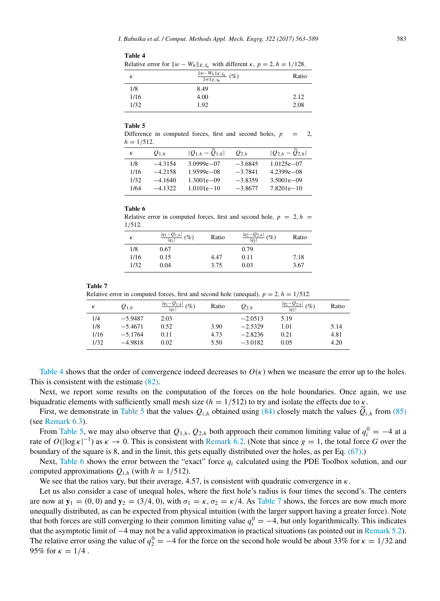| Relative error for $  w - W_h  _{E.S_v}$ with different $\kappa$ , $p = 2$ , $h = 1/128$ . |                                               |       |  |
|--------------------------------------------------------------------------------------------|-----------------------------------------------|-------|--|
| К                                                                                          | $\frac{\ w-W_h\ _{E,S_K}}{\ w\ _{E,S_K}}$ (%) | Ratio |  |
| 1/8                                                                                        | 8.49                                          |       |  |
| 1/16                                                                                       | 4.00                                          | 2.12  |  |
| 1/32                                                                                       | 1.92                                          | 2.08  |  |

<span id="page-20-0"></span>Table 4

<span id="page-20-1"></span>Difference in computed forces, first and second holes,  $p = 2$ ,  $h = 1/512$ .

| к    | $O_{1 h}$ | $ Q_{1,h} - Q_{1,h} $ | $Q_{2,h}$ | $ Q_{2,h} - Q_{2,h} $ |
|------|-----------|-----------------------|-----------|-----------------------|
| 1/8  | $-4.3154$ | $3.0999e - 07$        | $-3.6845$ | $1.0125e - 07$        |
| 1/16 | $-42158$  | $1.9599e - 08$        | $-3.7841$ | $4.2399e - 08$        |
| 1/32 | $-4.1640$ | $1.3001e - 09$        | $-3.8359$ | $3.5001e - 09$        |
| 1/64 | $-4.1322$ | $1.0101e - 10$        | $-3.8677$ | $7.8201e - 10$        |
|      |           |                       |           |                       |

#### <span id="page-20-2"></span>Table 6

Relative error in computed forces, first and second hole,  $p = 2$ ,  $h =$ 1/512.

| к    | $\frac{ q_1-Q_{1,h} }{ q_1 }$ (%) | Ratio | $\frac{ q_2-Q_{2,h} }{ q_2 }$ (%) | Ratio |
|------|-----------------------------------|-------|-----------------------------------|-------|
| 1/8  | 0.67                              |       | 0.79                              |       |
| 1/16 | 0.15                              | 4.47  | 0.11                              | 7.18  |
| 1/32 | 0.04                              | 3.75  | 0.03                              | 3.67  |

#### <span id="page-20-3"></span>Table 7

Relative error in computed forces, first and second hole (unequal),  $p = 2$ ,  $h = 1/512$ .

| к    | $Q_{1,h}$ | $ q_1 - Q_{1,h} $<br>$(\%)$<br>$ q_1 $ | Ratio | $Q_{2,h}$ | $\frac{ q_2-Q_{2,h} }{ q_2 }$<br>$(\%)$ | Ratio |
|------|-----------|----------------------------------------|-------|-----------|-----------------------------------------|-------|
| 1/4  | $-5.9487$ | 2.03                                   |       | $-2.0513$ | 5.19                                    |       |
| 1/8  | $-5.4671$ | 0.52                                   | 3.90  | $-2.5329$ | 1.01                                    | 5.14  |
| 1/16 | $-5.1764$ | 0.11                                   | 4.73  | $-2.8236$ | 0.21                                    | 4.81  |
| 1/32 | $-4.9818$ | 0.02                                   | 5.50  | $-3.0182$ | 0.05                                    | 4.20  |

[Table 4](#page-20-0) shows that the order of convergence indeed decreases to  $O(\kappa)$  when we measure the error up to the holes. This is consistent with the estimate [\(82\).](#page-18-5)

Next, we report some results on the computation of the forces on the hole boundaries. Once again, we use biquadratic elements with sufficiently small mesh size  $(h = 1/512)$  to try and isolate the effects due to  $\kappa$ .

First, we demonstrate in [Table 5](#page-20-1) that the values  $Q_{i,h}$  obtained using [\(84\)](#page-18-1) closely match the values  $Q_{i,h}$  from [\(85\)](#page-18-2) (see [Remark 6.3\)](#page-18-6).

From [Table 5,](#page-20-1) we may also observe that  $Q_{1,h}$ ,  $Q_{2,h}$  both approach their common limiting value of  $q_i^0 = -4$  at a rate of  $O(|\log \kappa|^{-1})$  as  $\kappa \to 0$ . This is consistent with [Remark 6.2.](#page-17-7) (Note that since  $g = 1$ , the total force *G* over the boundary of the square is 8, and in the limit, this gets equally distributed over the holes, as per Eq. [\(67\).](#page-15-2))

Next, [Table 6](#page-20-2) shows the error between the "exact" force *q<sup>i</sup>* calculated using the PDE Toolbox solution, and our computed approximations  $Q_{i,h}$  (with  $h = 1/512$ ).

We see that the ratios vary, but their average, 4.57, is consistent with quadratic convergence in  $\kappa$ .

Let us also consider a case of unequal holes, where the first hole's radius is four times the second's. The centers are now at  $y_1 = (0, 0)$  and  $y_2 = (3/4, 0)$ , with  $\sigma_1 = \kappa$ ,  $\sigma_2 = \kappa/4$ . As [Table 7](#page-20-3) shows, the forces are now much more unequally distributed, as can be expected from physical intuition (with the larger support having a greater force). Note that both forces are still converging to their common limiting value  $q_i^0 = -4$ , but only logarithmically. This indicates that the asymptotic limit of −4 may not be a valid approximation in practical situations (as pointed out in [Remark 5.2\)](#page-16-9). The relative error using the value of  $q_2^0 = -4$  for the force on the second hole would be about 33% for  $\kappa = 1/32$  and 95% for  $\kappa = 1/4$ .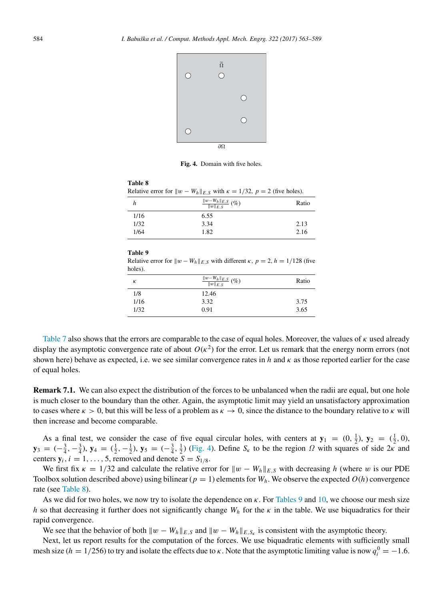<span id="page-21-0"></span>

Fig. 4. Domain with five holes.

<span id="page-21-2"></span><span id="page-21-1"></span>

|         | Relative error for $  w - W_h  _{E,S}$ with $\kappa = 1/32$ , $p = 2$ (five holes).           |       |
|---------|-----------------------------------------------------------------------------------------------|-------|
| h       | $\frac{\ w-W_h\ _{E,S}}{\ w\ _{E,S}}$ (%)                                                     | Ratio |
| 1/16    | 6.55                                                                                          |       |
| 1/32    | 3.34                                                                                          | 2.13  |
| 1/64    | 1.82                                                                                          | 2.16  |
| holes). | Relative error for $  w - W_h  _{E, S}$ with different $\kappa$ , $p = 2$ , $h = 1/128$ (five |       |
| К       | $\frac{\ w-W_h\ _{E,S}}{\ w\ _{E,S}}$ (%)                                                     |       |
|         |                                                                                               | Ratio |
| 1/8     | 12.46                                                                                         |       |
| 1/16    | 3.32                                                                                          | 3.75  |

[Table 7](#page-20-3) also shows that the errors are comparable to the case of equal holes. Moreover, the values of  $\kappa$  used already display the asymptotic convergence rate of about  $O(\kappa^2)$  for the error. Let us remark that the energy norm errors (not shown here) behave as expected, i.e. we see similar convergence rates in  $h$  and  $\kappa$  as those reported earlier for the case of equal holes.

Remark 7.1. We can also expect the distribution of the forces to be unbalanced when the radii are equal, but one hole is much closer to the boundary than the other. Again, the asymptotic limit may yield an unsatisfactory approximation to cases where  $\kappa > 0$ , but this will be less of a problem as  $\kappa \to 0$ , since the distance to the boundary relative to  $\kappa$  will then increase and become comparable.

As a final test, we consider the case of five equal circular holes, with centers at  $y_1 = (0, \frac{1}{2})$ ,  $y_2 = (\frac{1}{2}, 0)$ ,  $y_3 = (-\frac{3}{4}, -\frac{3}{4})$ ,  $y_4 = (\frac{1}{2}, -\frac{1}{2})$ ,  $y_5 = (-\frac{3}{4}, \frac{1}{2})$  [\(Fig. 4\)](#page-21-0). Define  $S_k$  to be the region  $\Omega$  with squares of side  $2\kappa$  and centers  $y_i$ ,  $i = 1, \ldots, 5$ , removed and denote  $S = S_{1/8}$ .

We first fix  $\kappa = 1/32$  and calculate the relative error for  $||w - W_h||_{E, S}$  with decreasing *h* (where w is our PDE Toolbox solution described above) using bilinear ( $p = 1$ ) elements for  $W_h$ . We observe the expected  $O(h)$  convergence rate (see [Table 8\)](#page-21-1).

As we did for two holes, we now try to isolate the dependence on  $\kappa$ . For [Tables 9](#page-21-2) and [10,](#page-22-1) we choose our mesh size *h* so that decreasing it further does not significantly change  $W_h$  for the  $\kappa$  in the table. We use biquadratics for their rapid convergence.

We see that the behavior of both  $||w - W_h||_{E,S}$  and  $||w - W_h||_{E,S_K}$  is consistent with the asymptotic theory.

Next, let us report results for the computation of the forces. We use biquadratic elements with sufficiently small mesh size ( $h = 1/256$ ) to try and isolate the effects due to  $\kappa$ . Note that the asymptotic limiting value is now  $q_i^0 = -1.6$ .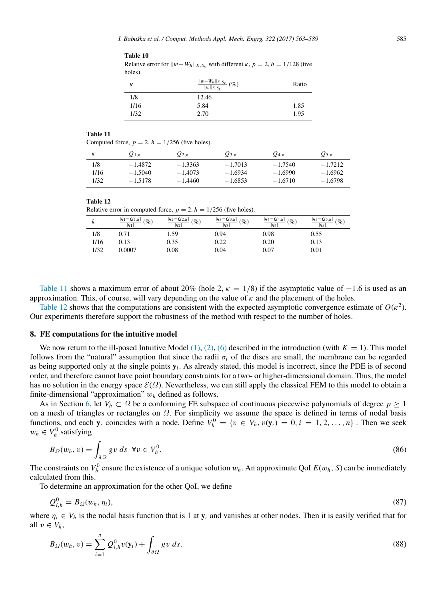| Relative error for $  w - W_h  _{E, S_v}$ with different $\kappa$ , $p = 2$ , $h = 1/128$ (five<br>holes). |                                                           |       |
|------------------------------------------------------------------------------------------------------------|-----------------------------------------------------------|-------|
| к                                                                                                          | $\frac{\ w-W_h\ _{E,S_k}}{\ w\ _{E,S_k}}\left(\% \right)$ | Ratio |
| 1/8                                                                                                        | 12.46                                                     |       |
| 1/16                                                                                                       | 5.84                                                      | 1.85  |
| 1/32                                                                                                       | 2.70                                                      | 1.95  |

<span id="page-22-2"></span>Computed force,  $p = 2$ ,  $h = 1/256$  (five holes).

<span id="page-22-1"></span>Table 10

| к    | $Q_{1.h}$ | $Q_{2,h}$ | $Q_{3,h}$ | $Q_{4,h}$ | $Q_{5,h}$ |
|------|-----------|-----------|-----------|-----------|-----------|
| 1/8  | $-1.4872$ | $-1.3363$ | $-1.7013$ | $-1.7540$ | $-1.7212$ |
| 1/16 | $-1.5040$ | $-1.4073$ | $-1.6934$ | $-1.6990$ | $-1.6962$ |
| 1/32 | $-1.5178$ | $-1.4460$ | $-1.6853$ | $-1.6710$ | $-1.6798$ |

<span id="page-22-3"></span>

| lable 12 |  |
|----------|--|
|----------|--|

Relative error in computed force,  $p = 2$ ,  $h = 1/256$  (five holes).

|      | $\frac{ q_1 - Q_{1,h} }{ q_1 }$ (%) | $\frac{ q_2 - Q_{2,h} }{ q_2 }$ (%) | $\frac{ q_3 - Q_{3,h} }{ q_3 }$ (%) | $\frac{ q_4 - Q_{4,h} }{ q_4 }$ (%)<br>$ q_4 $ | $\frac{ q_5 - Q_{5,h} }{ q_5 }$<br>$(\%)$ |
|------|-------------------------------------|-------------------------------------|-------------------------------------|------------------------------------------------|-------------------------------------------|
| 1/8  | 0.71                                | l 59                                | 0.94                                | 0.98                                           | 0.55                                      |
| 1/16 | 0.13                                | 0.35                                | 0.22                                | 0.20                                           | 0.13                                      |
| 1/32 | 0.0007                              | 0.08                                | 0.04                                | 0.07                                           | 0.01                                      |

[Table 11](#page-22-2) shows a maximum error of about 20% (hole 2,  $\kappa = 1/8$ ) if the asymptotic value of −1.6 is used as an approximation. This, of course, will vary depending on the value of  $\kappa$  and the placement of the holes.

[Table 12](#page-22-3) shows that the computations are consistent with the expected asymptotic convergence estimate of  $O(\kappa^2)$ . Our experiments therefore support the robustness of the method with respect to the number of holes.

# <span id="page-22-0"></span>8. FE computations for the intuitive model

We now return to the ill-posed Intuitive Model  $(1), (2), (6)$  $(1), (2), (6)$  $(1), (2), (6)$  $(1), (2), (6)$  $(1), (2), (6)$  described in the introduction (with  $K = 1$ ). This model follows from the "natural" assumption that since the radii  $\sigma_i$  of the discs are small, the membrane can be regarded as being supported only at the single points  $y_i$ . As already stated, this model is incorrect, since the PDE is of second order, and therefore cannot have point boundary constraints for a two- or higher-dimensional domain. Thus, the model has no solution in the energy space  $\mathcal{E}(\Omega)$ . Nevertheless, we can still apply the classical FEM to this model to obtain a finite-dimensional "approximation" w*<sup>h</sup>* defined as follows.

As in Section [6,](#page-16-1) let  $V_h \subset \Omega$  be a conforming FE subspace of continuous piecewise polynomials of degree  $p \ge 1$ on a mesh of triangles or rectangles on Ω. For simplicity we assume the space is defined in terms of nodal basis functions, and each  $y_i$  coincides with a node. Define  $V_h^0 = \{v \in V_h, v(y_i) = 0, i = 1, 2, ..., n\}$ . Then we seek  $w_h \in V_h^0$  satisfying

$$
B_{\Omega}(w_h, v) = \int_{\partial \Omega} g v \, ds \ \forall v \in V_h^0. \tag{86}
$$

The constraints on  $V_h^0$  ensure the existence of a unique solution  $w_h$ . An approximate QoI  $E(w_h, S)$  can be immediately calculated from this.

To determine an approximation for the other QoI, we define

$$
Q_{i,h}^0 = B_{\Omega}(w_h, \eta_i),\tag{87}
$$

where  $\eta_i \in V_h$  is the nodal basis function that is 1 at  $y_i$  and vanishes at other nodes. Then it is easily verified that for all  $v \in V_h$ ,

<span id="page-22-4"></span>
$$
B_{\Omega}(w_h, v) = \sum_{i=1}^n Q_{i,h}^0 v(\mathbf{y}_i) + \int_{\partial \Omega} g v \, ds. \tag{88}
$$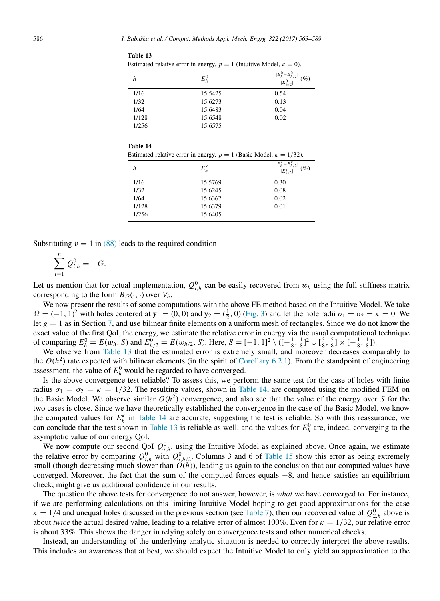<span id="page-23-0"></span>

| Estimated relative error in energy, $p = 1$ (Intuitive Model, $\kappa = 0$ ). |         |        |  |  |
|-------------------------------------------------------------------------------|---------|--------|--|--|
| h                                                                             | $E_h^0$ | $(\%)$ |  |  |
| 1/16                                                                          | 15.5425 | 0.54   |  |  |
| 1/32                                                                          | 15.6273 | 0.13   |  |  |
| 1/64                                                                          | 15.6483 | 0.04   |  |  |
| 1/128                                                                         | 15.6548 | 0.02   |  |  |
| 1/256                                                                         | 15.6575 |        |  |  |

<span id="page-23-1"></span>

| н<br>н<br>۰,<br>۰<br>.,<br>۰ |  |
|------------------------------|--|
|------------------------------|--|

| h     | $E_h^{\kappa}$ | $ E_h^{\kappa}-E_{h/2}^{\kappa} $<br>$(\%)$<br>$\overline{E_{h/2}^{\kappa}}$ |
|-------|----------------|------------------------------------------------------------------------------|
| 1/16  | 15.5769        | 0.30                                                                         |
| 1/32  | 15.6245        | 0.08                                                                         |
| 1/64  | 15.6367        | 0.02                                                                         |
| 1/128 | 15.6379        | 0.01                                                                         |
| 1/256 | 15.6405        |                                                                              |

Substituting  $v = 1$  in [\(88\)](#page-22-4) leads to the required condition

$$
\sum_{i=1}^n \mathcal{Q}_{i,h}^0 = -G.
$$

Let us mention that for actual implementation,  $Q_{i,h}^0$  can be easily recovered from  $w_h$  using the full stiffness matrix corresponding to the form  $B_{\Omega}(\cdot, \cdot)$  over  $V_h$ .

We now present the results of some computations with the above FE method based on the Intuitive Model. We take  $\Omega = (-1, 1)^2$  with holes centered at  $\mathbf{y}_1 = (0, 0)$  and  $\mathbf{y}_2 = (\frac{1}{2}, 0)$  [\(Fig. 3\)](#page-19-0) and let the hole radii  $\sigma_1 = \sigma_2 = \kappa = 0$ . We let  $g = 1$  as in Section [7,](#page-18-0) and use bilinear finite elements on a uniform mesh of rectangles. Since we do not know the exact value of the first QoI, the energy, we estimate the relative error in energy via the usual computational technique of comparing  $E_h^0 = E(w_h, S)$  and  $E_{h/2}^0 = E(w_{h/2}, S)$ . Here,  $S = [-1, 1]^2 \setminus \left( [-\frac{1}{8}, \frac{1}{8}]^2 \cup \left[ \frac{3}{8}, \frac{5}{8} \right] \times \left[ -\frac{1}{8}, \frac{1}{8} \right]$ .

We observe from [Table 13](#page-23-0) that the estimated error is extremely small, and moreover decreases comparably to the  $O(h^2)$  rate expected with bilinear elements (in the spirit of [Corollary 6.2.1\)](#page-18-7). From the standpoint of engineering assessment, the value of  $E_h^0$  would be regarded to have converged.

Is the above convergence test reliable? To assess this, we perform the same test for the case of holes with finite radius  $\sigma_1 = \sigma_2 = \kappa = 1/32$ . The resulting values, shown in [Table 14,](#page-23-1) are computed using the modified FEM on the Basic Model. We observe similar  $O(h^2)$  convergence, and also see that the value of the energy over *S* for the two cases is close. Since we have theoretically established the convergence in the case of the Basic Model, we know the computed values for  $E_h^{\kappa}$  in [Table 14](#page-23-1) are accurate, suggesting the test is reliable. So with this reassurance, we can conclude that the test shown in [Table 13](#page-23-0) is reliable as well, and the values for  $E<sub>h</sub><sup>0</sup>$  are, indeed, converging to the asymptotic value of our energy QoI.

We now compute our second QoI  $Q_{i,h}^0$ , using the Intuitive Model as explained above. Once again, we estimate the relative error by comparing  $Q_{i,h}^0$  with  $Q_{i,h/2}^0$ . Columns 3 and 6 of [Table 15](#page-24-1) show this error as being extremely small (though decreasing much slower than  $O(h)$ ), leading us again to the conclusion that our computed values have converged. Moreover, the fact that the sum of the computed forces equals −8, and hence satisfies an equilibrium check, might give us additional confidence in our results.

The question the above tests for convergence do not answer, however, is *what* we have converged to. For instance, if we are performing calculations on this limiting Intuitive Model hoping to get good approximations for the case  $\kappa = 1/4$  and unequal holes discussed in the previous section (see [Table 7\)](#page-20-3), then our recovered value of  $Q_{2,h}^0$  above is about *twice* the actual desired value, leading to a relative error of almost 100%. Even for  $\kappa = 1/32$ , our relative error is about 33%. This shows the danger in relying solely on convergence tests and other numerical checks.

Instead, an understanding of the underlying analytic situation is needed to correctly interpret the above results. This includes an awareness that at best, we should expect the Intuitive Model to only yield an approximation to the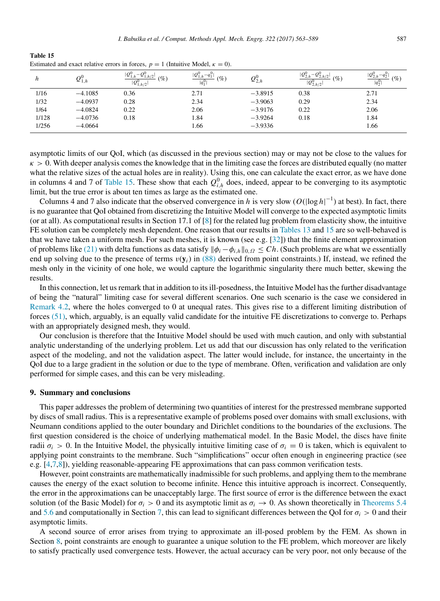<span id="page-24-1"></span>Table 15 Estimated and exact relative errors in forces,  $p = 1$  (Intuitive Model,  $\kappa = 0$ ).

| h     | $\mathcal{Q}_{1,h}$ | $ Q_1^0$<br>$-Q_1^0$<br>. h/2<br>$\mathscr{C}_o$<br>$ Q_{1,h/2}^{0} $ | $ Q_{1,h}^0 - q_1^0 $<br>$\mathcal{O}_0$<br>$ q_1^{0} $ | $Q_{2,h}^{0}$ | $ Q_{2,h}^0 $<br>$C^1 - Q^0_{2,h/2}$ .<br>$\mathscr{C}_0$<br>$ Q_{2,h/2}^0 $ | $ Q_{2,h}^0 $<br>$- q_2^0$<br>$\mathscr{O}_0$<br>$ q_2^0\rangle$ |
|-------|---------------------|-----------------------------------------------------------------------|---------------------------------------------------------|---------------|------------------------------------------------------------------------------|------------------------------------------------------------------|
| 1/16  | $-4.1085$           | 0.36                                                                  | 2.71                                                    | $-3.8915$     | 0.38                                                                         | 2.71                                                             |
| 1/32  | $-4.0937$           | 0.28                                                                  | 2.34                                                    | $-3.9063$     | 0.29                                                                         | 2.34                                                             |
| 1/64  | $-4.0824$           | 0.22                                                                  | 2.06                                                    | $-3.9176$     | 0.22                                                                         | 2.06                                                             |
| 1/128 | $-4.0736$           | 0.18                                                                  | 1.84                                                    | $-3.9264$     | 0.18                                                                         | 1.84                                                             |
| 1/256 | $-4.0664$           |                                                                       | 1.66                                                    | $-3.9336$     |                                                                              | 1.66                                                             |

asymptotic limits of our QoI, which (as discussed in the previous section) may or may not be close to the values for  $\kappa > 0$ . With deeper analysis comes the knowledge that in the limiting case the forces are distributed equally (no matter what the relative sizes of the actual holes are in reality). Using this, one can calculate the exact error, as we have done in columns 4 and 7 of [Table 15.](#page-24-1) These show that each  $Q_{i,h}^0$  does, indeed, appear to be converging to its asymptotic limit, but the true error is about ten times as large as the estimated one.

Columns 4 and 7 also indicate that the observed convergence in *h* is very slow ( $O(|\log h|^{-1})$ ) at best). In fact, there is no guarantee that QoI obtained from discretizing the Intuitive Model will converge to the expected asymptotic limits (or at all). As computational results in Section 17.1 of [\[8\]](#page-25-6) for the related lug problem from elasticity show, the intuitive FE solution can be completely mesh dependent. One reason that our results in [Tables 13](#page-23-0) and [15](#page-24-1) are so well-behaved is that we have taken a uniform mesh. For such meshes, it is known (see e.g.  $[32]$ ) that the finite element approximation of problems like [\(21\)](#page-6-4) with delta functions as data satisfy  $||\phi_i - \phi_{i,h}||_{0,\Omega} \leq Ch$ . (Such problems are what we essentially end up solving due to the presence of terms  $v(y_i)$  in [\(88\)](#page-22-4) derived from point constraints.) If, instead, we refined the mesh only in the vicinity of one hole, we would capture the logarithmic singularity there much better, skewing the results.

In this connection, let us remark that in addition to its ill-posedness, the Intuitive Model has the further disadvantage of being the "natural" limiting case for several different scenarios. One such scenario is the case we considered in [Remark 4.2,](#page-11-2) where the holes converged to 0 at unequal rates. This gives rise to a different limiting distribution of forces [\(51\),](#page-11-3) which, arguably, is an equally valid candidate for the intuitive FE discretizations to converge to. Perhaps with an appropriately designed mesh, they would.

Our conclusion is therefore that the Intuitive Model should be used with much caution, and only with substantial analytic understanding of the underlying problem. Let us add that our discussion has only related to the verification aspect of the modeling, and not the validation aspect. The latter would include, for instance, the uncertainty in the QoI due to a large gradient in the solution or due to the type of membrane. Often, verification and validation are only performed for simple cases, and this can be very misleading.

## <span id="page-24-0"></span>9. Summary and conclusions

This paper addresses the problem of determining two quantities of interest for the prestressed membrane supported by discs of small radius. This is a representative example of problems posed over domains with small exclusions, with Neumann conditions applied to the outer boundary and Dirichlet conditions to the boundaries of the exclusions. The first question considered is the choice of underlying mathematical model. In the Basic Model, the discs have finite radii  $\sigma_i > 0$ . In the Intuitive Model, the physically intuitive limiting case of  $\sigma_i = 0$  is taken, which is equivalent to applying point constraints to the membrane. Such "simplifications" occur often enough in engineering practice (see e.g. [\[4](#page-25-2)[,7](#page-25-5)[,8\]](#page-25-6)), yielding reasonable-appearing FE approximations that can pass common verification tests.

However, point constraints are mathematically inadmissible for such problems, and applying them to the membrane causes the energy of the exact solution to become infinite. Hence this intuitive approach is incorrect. Consequently, the error in the approximations can be unacceptably large. The first source of error is the difference between the exact solution (of the Basic Model) for  $\sigma_i > 0$  and its asymptotic limit as  $\sigma_i \to 0$ . As shown theoretically in [Theorems 5.4](#page-14-0) and [5.6](#page-16-0) and computationally in Section [7,](#page-18-0) this can lead to significant differences between the QoI for  $\sigma_i > 0$  and their asymptotic limits.

A second source of error arises from trying to approximate an ill-posed problem by the FEM. As shown in Section [8,](#page-22-0) point constraints are enough to guarantee a unique solution to the FE problem, which moreover are likely to satisfy practically used convergence tests. However, the actual accuracy can be very poor, not only because of the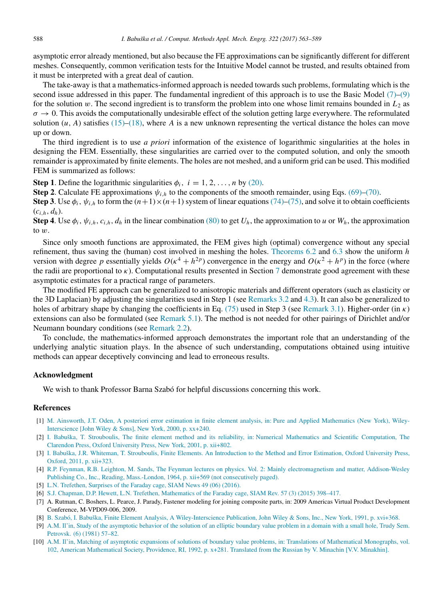asymptotic error already mentioned, but also because the FE approximations can be significantly different for different meshes. Consequently, common verification tests for the Intuitive Model cannot be trusted, and results obtained from it must be interpreted with a great deal of caution.

The take-away is that a mathematics-informed approach is needed towards such problems, formulating which is the second issue addressed in this paper. The fundamental ingredient of this approach is to use the Basic Model [\(7\)–](#page-4-0)[\(9\)](#page-4-1) for the solution w. The second ingredient is to transform the problem into one whose limit remains bounded in  $L_2$  as  $\sigma \to 0$ . This avoids the computationally undesirable effect of the solution getting large everywhere. The reformulated solution  $(u, A)$  satisfies [\(15\)](#page-5-5)[–\(18\),](#page-5-4) where *A* is a new unknown representing the vertical distance the holes can move up or down.

The third ingredient is to use *a priori* information of the existence of logarithmic singularities at the holes in designing the FEM. Essentially, these singularities are carried over to the computed solution, and only the smooth remainder is approximated by finite elements. The holes are not meshed, and a uniform grid can be used. This modified FEM is summarized as follows:

**Step 1.** Define the logarithmic singularities  $\phi_i$ ,  $i = 1, 2, ..., n$  by [\(20\).](#page-6-3)

Step 2. Calculate FE approximations  $\psi_{i,h}$  to the components of the smooth remainder, using Eqs. [\(69\)–](#page-16-3)[\(70\).](#page-16-2)

**Step 3.** Use  $\phi_i$ ,  $\psi_{i,h}$  to form the  $(n+1)\times(n+1)$  system of linear equations [\(74\)–](#page-16-7)[\(75\),](#page-16-8) and solve it to obtain coefficients  $(c_{i,h}, d_h)$ .

Step 4. Use  $\phi_i$ ,  $\psi_{i,h}$ ,  $c_{i,h}$ ,  $d_h$  in the linear combination [\(80\)](#page-17-5) to get  $U_h$ , the approximation to *u* or  $W_h$ , the approximation to w.

Since only smooth functions are approximated, the FEM gives high (optimal) convergence without any special refinement, thus saving the (human) cost involved in meshing the holes. [Theorems 6.2](#page-18-4) and [6.3](#page-18-8) show the uniform *h* version with degree p essentially yields  $O(\kappa^4 + h^{2p})$  convergence in the energy and  $O(\kappa^2 + h^p)$  in the force (where the radii are proportional to  $\kappa$ ). Computational results presented in Section [7](#page-18-0) demonstrate good agreement with these asymptotic estimates for a practical range of parameters.

The modified FE approach can be generalized to anisotropic materials and different operators (such as elasticity or the 3D Laplacian) by adjusting the singularities used in Step 1 (see [Remarks 3.2](#page-7-1) and [4.3\)](#page-11-0). It can also be generalized to holes of arbitrary shape by changing the coefficients in Eq. [\(75\)](#page-16-8) used in Step 3 (see [Remark 3.1\)](#page-7-0). Higher-order (in  $\kappa$ ) extensions can also be formulated (see [Remark 5.1\)](#page-14-3). The method is not needed for other pairings of Dirichlet and/or Neumann boundary conditions (see [Remark 2.2\)](#page-5-0).

To conclude, the mathematics-informed approach demonstrates the important role that an understanding of the underlying analytic situation plays. In the absence of such understanding, computations obtained using intuitive methods can appear deceptively convincing and lead to erroneous results.

# Acknowledgment

We wish to thank Professor Barna Szabó for helpful discussions concerning this work.

#### References

- <span id="page-25-0"></span>[1] [M. Ainsworth, J.T. Oden, A posteriori error estimation in finite element analysis, in: Pure and Applied Mathematics \(New York\), Wiley-](http://refhub.elsevier.com/S0045-7825(16)30427-3/sb1)[Interscience \[John Wiley & Sons\], New York, 2000, p. xx+240.](http://refhub.elsevier.com/S0045-7825(16)30427-3/sb1)
- [2] [I. Babuška, T. Strouboulis, The finite element method and its reliability, in: Numerical Mathematics and Scientific Computation, The](http://refhub.elsevier.com/S0045-7825(16)30427-3/sb2) [Clarendon Press, Oxford University Press, New York, 2001, p. xii+802.](http://refhub.elsevier.com/S0045-7825(16)30427-3/sb2)
- <span id="page-25-1"></span>[3] [I. Babuška, J.R. Whiteman, T. Strouboulis, Finite Elements. An Introduction to the Method and Error Estimation, Oxford University Press,](http://refhub.elsevier.com/S0045-7825(16)30427-3/sb3) [Oxford, 2011, p. xii+323.](http://refhub.elsevier.com/S0045-7825(16)30427-3/sb3)
- <span id="page-25-2"></span>[4] [R.P. Feynman, R.B. Leighton, M. Sands, The Feynman lectures on physics. Vol. 2: Mainly electromagnetism and matter, Addison-Wesley](http://refhub.elsevier.com/S0045-7825(16)30427-3/sb4) [Publishing Co., Inc., Reading, Mass.-London, 1964, p. xii+569 \(not consecutively paged\).](http://refhub.elsevier.com/S0045-7825(16)30427-3/sb4)
- <span id="page-25-3"></span>[5] [L.N. Trefethen, Surprises of the Faraday cage, SIAM News 49 \(06\) \(2016\).](http://refhub.elsevier.com/S0045-7825(16)30427-3/sb5)
- <span id="page-25-4"></span>[6] [S.J. Chapman, D.P. Hewett, L.N. Trefethen, Mathematics of the Faraday cage, SIAM Rev. 57 \(3\) \(2015\) 398–417.](http://refhub.elsevier.com/S0045-7825(16)30427-3/sb6)
- <span id="page-25-5"></span>[7] A. Rutman, C. Boshers, L. Pearce, J. Parady, Fastener modeling for joining composite parts, in: 2009 Americas Virtual Product Development Conference, M-VPD09-006, 2009.
- <span id="page-25-6"></span>[8] [B. Szabó, I. Babuška, Finite Element Analysis, A Wiley-Interscience Publication, John Wiley & Sons, Inc., New York, 1991, p. xvi+368.](http://refhub.elsevier.com/S0045-7825(16)30427-3/sb8)
- <span id="page-25-7"></span>[9] [A.M. Il'in, Study of the asymptotic behavior of the solution of an elliptic boundary value problem in a domain with a small hole, Trudy Sem.](http://refhub.elsevier.com/S0045-7825(16)30427-3/sb9) [Petrovsk. \(6\) \(1981\) 57–82.](http://refhub.elsevier.com/S0045-7825(16)30427-3/sb9)
- <span id="page-25-8"></span>[\[](http://refhub.elsevier.com/S0045-7825(16)30427-3/sb10)10] [A.M. Il'in, Matching of asymptotic expansions of solutions of boundary value problems, in: Translations of Mathematical Monographs, vol.](http://refhub.elsevier.com/S0045-7825(16)30427-3/sb10) [102, American Mathematical Society, Providence, RI, 1992, p. x+281. Translated from the Russian by V. Minachin \[V.V. Minakhin\].](http://refhub.elsevier.com/S0045-7825(16)30427-3/sb10)